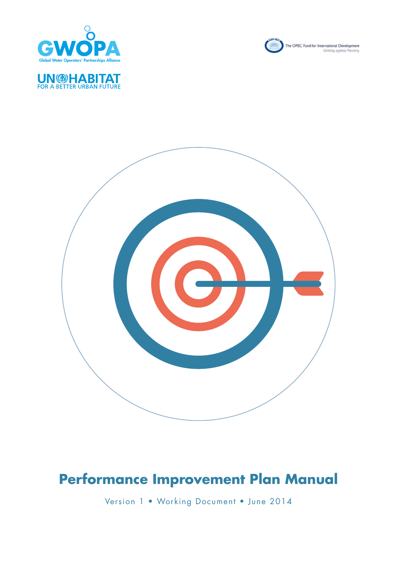

**UN DIABITAT** 





# **Performance Improvement Plan Manual**

Version 1 • Working Document • June 2014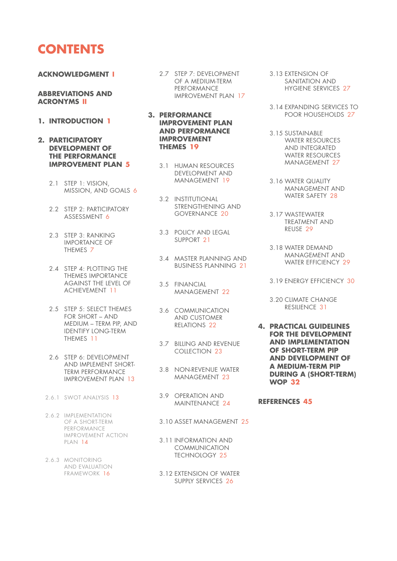## **CONTENTS**

#### **ACKNOWLEDGMENT I**

#### **ABBREVIATIONS AND ACRONYMS II**

- **1. INTRODUCTION 1**
- **2. PARTICIPATORY DEVELOPMENT OF THE PERFORMANCE IMPROVEMENT PLAN 5**
	- 2.1 STEP 1: VISION, MISSION, AND GOALS 6
	- 2.2 STEP 2: PARTICIPATORY ASSESSMENT 6
	- 2.3 STEP 3: RANKING IMPORTANCE OF THEMES 7
	- 2.4 STEP 4: PLOTTING THE THEMES IMPORTANCE AGAINST THE LEVEL OF ACHIEVEMENT 11
	- 2.5 STEP 5: SELECT THEMES FOR SHORT – AND MEDIUM – TERM PIP, AND IDENTIFY LONG-TERM THEMES 11
	- 2.6 STEP 6: DEVELOPMENT AND IMPLEMENT SHORT-TERM PERFORMANCE IMPROVEMENT PLAN 13
	- 2.6.1 SWOT ANALYSIS 13
	- 2.6.2 IMPLEMENTATION OF A SHORT-TERM PERFORMANCE IMPROVEMENT ACTION PLAN 14
	- 2.6.3 MONITORING AND EVALUATION FRAMEWORK 16
- 2.7 STEP 7: DEVELOPMENT 3.13 EXTENSION OF OF A MEDIUM-TERM PERFORMANCE IMPROVEMENT PLAN 17
- **3. PERFORMANCE IMPROVEMENT PLAN AND PERFORMANCE IMPROVEMENT THEMES 19**
	- 3.1 HUMAN RESOURCES DEVELOPMENT AND MANAGEMENT 19
		- 3.2 INSTITUTIONAL STRENGTHENING AND GOVERNANCE 20
	- 3.3 POLICY AND LEGAL SUPPORT 21
		- 3.4 MASTER PLANNING AND BUSINESS PLANNING 21
	- 3.5 FINANCIAL MANAGEMENT 22
		- 3.6 COMMUNICATION AND CUSTOMER RELATIONS 22
		- 3.7 BILLING AND REVENUE COLLECTION 23
		- 3.8 NON-REVENUE WATER MANAGEMENT 23
	- 3.9 OPERATION AND MAINTENANCE 24
		- 3.10 ASSET MANAGEMENT 25
		- 3.11 INFORMATION AND COMMUNICATION TECHNOLOGY 25
	- 3.12 EXTENSION OF WATER SUPPLY SERVICES 26
- SANITATION AND HYGIENE SERVICES 27
- 3.14 EXPANDING SERVICES TO POOR HOUSEHOLDS 27
- 3.15 SUSTAINABLE WATER RESOURCES AND INTEGRATED WATER RESOURCES MANAGEMENT 27
- 3.16 WATER QUALITY MANAGEMENT AND WATER SAFETY 28
- 3.17 WASTEWATER TREATMENT AND REUSE 29
- 3.18 WATER DEMAND MANAGEMENT AND WATER EFFICIENCY 29
- 3.19 ENERGY EFFICIENCY 30
- 3.20 CLIMATE CHANGE RESILIENCE 31
- **4. PRACTICAL GUIDELINES FOR THE DEVELOPMENT AND IMPLEMENTATION OF SHORT-TERM PIP AND DEVELOPMENT OF A MEDIUM-TERM PIP DURING A (SHORT-TERM) WOP 32**

### **REFERENCES 45**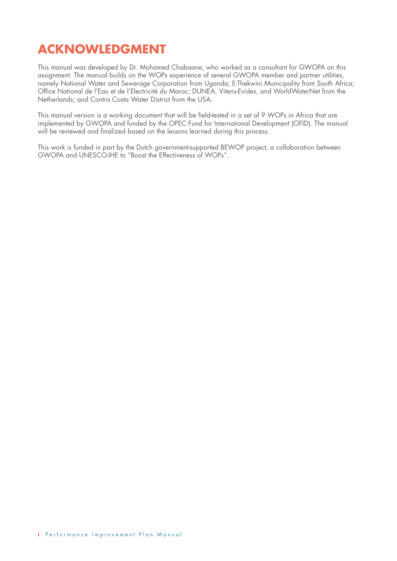## **ACKNOWLEDGMENT**

This manual was developed by Dr. Mohamed Chabaane, who worked as a consultant for GWOPA on this assignment. The manual builds on the WOPs experience of several GWOPA member and partner utilities, namely National Water and Sewerage Corporation from Uganda; E-Thekwini Municipality from South Africa; Office National de l'Eau et de l'Electricité du Maroc; DUNEA, Vitens-Evides, and WorldWaterNet from the Netherlands; and Contra Costa Water District from the USA.

This manual version is a working document that will be field-tested in a set of 9 WOPs in Africa that are implemented by GWOPA and funded by the OPEC Fund for International Development (OFID). The manual will be reviewed and finalized based on the lessons learned during this process.

This work is funded in part by the Dutch government-supported BEWOP project, a collaboration between GWOPA and UNESCO-IHE to "Boost the Effectiveness of WOPs".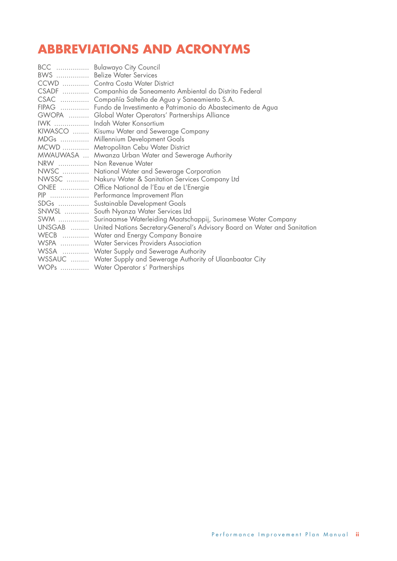## **ABBREVIATIONS AND ACRONYMS**

| BCC  Bulawayo City Council                                                        |
|-----------------------------------------------------------------------------------|
| BWS  Belize Water Services                                                        |
| CCWD  Contra Costa Water District                                                 |
| CSADF  Companhia de Saneamento Ambiental do Distrito Federal                      |
| CSAC  Compañía Salteña de Agua y Saneamiento S.A.                                 |
| FIPAG  Fundo de Investimento e Patrimonio do Abastecimento de Agua                |
| GWOPA  Global Water Operators' Partnerships Alliance                              |
| IWK  Indah Water Konsortium                                                       |
| KIWASCO  Kisumu Water and Sewerage Company                                        |
| MDGs  Millennium Development Goals                                                |
| MCWD  Metropolitan Cebu Water District                                            |
| MWAUWASA  Mwanza Urban Water and Sewerage Authority                               |
| NRW  Non Revenue Water                                                            |
| NWSC  National Water and Sewerage Corporation                                     |
| NWSSC  Nakuru Water & Sanitation Services Company Ltd                             |
| ONEE  Office National de l'Eau et de L'Energie                                    |
| PIP  Performance Improvement Plan                                                 |
| SDGs  Sustainable Development Goals                                               |
| SNWSL  South Nyanza Water Services Ltd                                            |
| SWM  Surinaamse Waterleiding Maatschappij, Surinamese Water Company               |
| UNSGAB  United Nations Secretary-General's Advisory Board on Water and Sanitation |
| WECB  Water and Energy Company Bonaire                                            |
| WSPA  Water Services Providers Association                                        |
| WSSA  Water Supply and Sewerage Authority                                         |
| WSSAUC  Water Supply and Sewerage Authority of Ulaanbaatar City                   |
| WOPs  Water Operator s' Partnerships                                              |
|                                                                                   |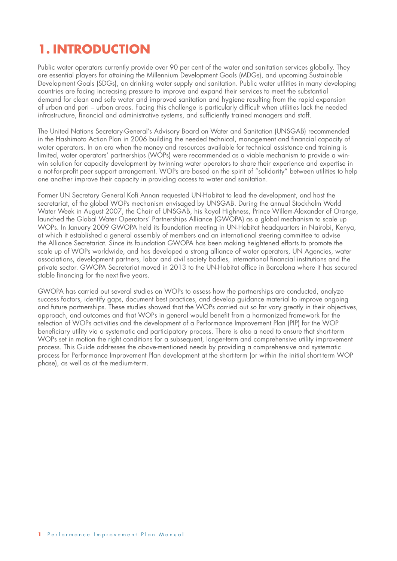# **1. INTRODUCTION**

Public water operators currently provide over 90 per cent of the water and sanitation services globally. They are essential players for attaining the Millennium Development Goals (MDGs), and upcoming Sustainable Development Goals (SDGs), on drinking water supply and sanitation. Public water utilities in many developing countries are facing increasing pressure to improve and expand their services to meet the substantial demand for clean and safe water and improved sanitation and hygiene resulting from the rapid expansion of urban and peri – urban areas. Facing this challenge is particularly difficult when utilities lack the needed infrastructure, financial and administrative systems, and sufficiently trained managers and staff.

The United Nations Secretary-General's Advisory Board on Water and Sanitation (UNSGAB) recommended in the Hashimoto Action Plan in 2006 building the needed technical, management and financial capacity of water operators. In an era when the money and resources available for technical assistance and training is limited, water operators' partnerships (WOPs) were recommended as a viable mechanism to provide a winwin solution for capacity development by twinning water operators to share their experience and expertise in a not-for-profit peer support arrangement. WOPs are based on the spirit of "solidarity" between utilities to help one another improve their capacity in providing access to water and sanitation.

Former UN Secretary General Kofi Annan requested UN-Habitat to lead the development, and host the secretariat, of the global WOPs mechanism envisaged by UNSGAB. During the annual Stockholm World Water Week in August 2007, the Chair of UNSGAB, his Royal Highness, Prince Willem-Alexander of Orange, launched the Global Water Operators' Partnerships Alliance (GWOPA) as a global mechanism to scale up WOPs. In January 2009 GWOPA held its foundation meeting in UN-Habitat headquarters in Nairobi, Kenya, at which it established a general assembly of members and an international steering committee to advise the Alliance Secretariat. Since its foundation GWOPA has been making heightened efforts to promote the scale up of WOPs worldwide, and has developed a strong alliance of water operators, UN Agencies, water associations, development partners, labor and civil society bodies, international financial institutions and the private sector. GWOPA Secretariat moved in 2013 to the UN-Habitat office in Barcelona where it has secured stable financing for the next five years.

GWOPA has carried out several studies on WOPs to assess how the partnerships are conducted, analyze success factors, identify gaps, document best practices, and develop guidance material to improve ongoing and future partnerships. These studies showed that the WOPs carried out so far vary greatly in their objectives, approach, and outcomes and that WOPs in general would benefit from a harmonized framework for the selection of WOPs activities and the development of a Performance Improvement Plan (PIP) for the WOP beneficiary utility via a systematic and participatory process. There is also a need to ensure that short-term WOPs set in motion the right conditions for a subsequent, longer-term and comprehensive utility improvement process. This Guide addresses the above-mentioned needs by providing a comprehensive and systematic process for Performance Improvement Plan development at the short-term (or within the initial short-term WOP phase), as well as at the medium-term.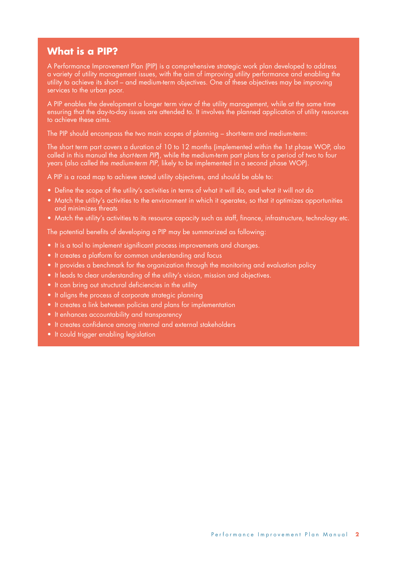### **What is a PIP?**

A Performance Improvement Plan (PIP) is a comprehensive strategic work plan developed to address a variety of utility management issues, with the aim of improving utility performance and enabling the utility to achieve its short – and medium-term objectives. One of these objectives may be improving services to the urban poor.

A PIP enables the development a longer term view of the utility management, while at the same time ensuring that the day-to-day issues are attended to. It involves the planned application of utility resources to achieve these aims.

The PIP should encompass the two main scopes of planning – short-term and medium-term:

The short term part covers a duration of 10 to 12 months (implemented within the 1st phase WOP, also called in this manual the *short-term PIP*), while the medium-term part plans for a period of two to four years (also called the *medium-term PIP*, likely to be implemented in a second phase WOP).

A PIP is a road map to achieve stated utility objectives, and should be able to:

- Define the scope of the utility's activities in terms of what it will do, and what it will not do
- Match the utility's activities to the environment in which it operates, so that it optimizes opportunities and minimizes threats
- Match the utility's activities to its resource capacity such as staff, finance, infrastructure, technology etc.

The potential benefits of developing a PIP may be summarized as following:

- It is a tool to implement significant process improvements and changes.
- It creates a platform for common understanding and focus
- It provides a benchmark for the organization through the monitoring and evaluation policy
- It leads to clear understanding of the utility's vision, mission and objectives.
- It can bring out structural deficiencies in the utility
- It aligns the process of corporate strategic planning
- It creates a link between policies and plans for implementation
- It enhances accountability and transparency
- It creates confidence among internal and external stakeholders
- It could trigger enabling legislation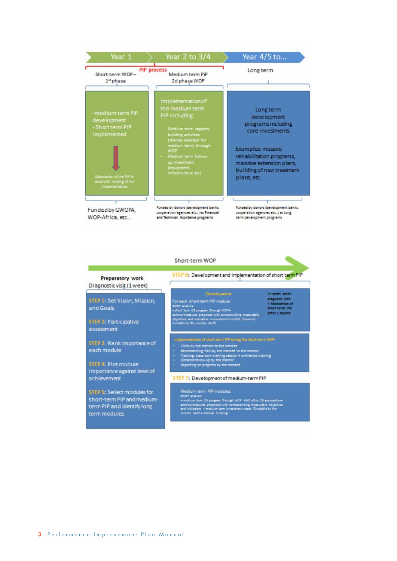| Year 1                                                                                                                                                | Year 2 to 3/4                                                                                                                                                                                                                                   | Year 4/5 to                                                                                                                                                                                 |
|-------------------------------------------------------------------------------------------------------------------------------------------------------|-------------------------------------------------------------------------------------------------------------------------------------------------------------------------------------------------------------------------------------------------|---------------------------------------------------------------------------------------------------------------------------------------------------------------------------------------------|
| Short-term WOP-<br>1 <sup>xt</sup> phase                                                                                                              | <b>PIP</b> process<br>Medium term PiP<br>2d phase WOP                                                                                                                                                                                           | Long term                                                                                                                                                                                   |
| -medium-term PiP<br>development<br>- Short term PIP<br>implemented<br>Submission of the PIP to<br>donors for funding of full<br><i>implementation</i> | Implementation of<br>the medium term<br>PiP including<br>Medium term capacity<br>building activities<br>themes selected for<br>medium term) through<br><b>WOP</b><br>Medium term follow-<br>up investment<br>(equipment,<br>infrastructure etc) | Long term<br>development<br>programs including<br>core investments<br>Examples: massive<br>rehabilitation programs,<br>massive extension plans,<br>building of new treatment<br>plans, etc. |
| Funded by GWOPA,<br>WOP-Africa, etc                                                                                                                   | Funded by donors (development banks,<br>cooperation agencies etc) as Financial<br>and Technical Assistance programs                                                                                                                             | Funded by donors (development banks,<br>cooperation agencies etc ) as Long<br>term development programs                                                                                     |

|                                                                                                        | Short-term WOP                                                                                                                                                                                                                                                                            |                                                                                           |
|--------------------------------------------------------------------------------------------------------|-------------------------------------------------------------------------------------------------------------------------------------------------------------------------------------------------------------------------------------------------------------------------------------------|-------------------------------------------------------------------------------------------|
| Preparatory work<br>Diagnostic visit (1 week)                                                          | STEP 6: Development and implementation of short term PIP                                                                                                                                                                                                                                  |                                                                                           |
| STEP 1: Set Vision, Mission,<br>and Goals                                                              | Development<br>For each 'short term PIP module:<br>SWOT analysis<br>+shot lom C5 program through WD7+<br>actions/mostures proposed with comparentling mosturable                                                                                                                          | 14 draft after<br>diagnosis visit<br>+ finalization of<br>short term FIF<br>after 1 month |
| STEP 2: Participative<br>assessment                                                                    | objectives and indicators 4 investment needed (low-cost,<br>fundable by the mented (bidf)                                                                                                                                                                                                 |                                                                                           |
| STEP 3: Rank importance of<br>each module                                                              | Implementation of short term PIP during the short-term WOP<br>Visits by the mentor to the mentee<br>Benchmerking visit by the mentee to the mentor<br>۰<br>Training: clessroom training session + on-the-job training<br>٠                                                                |                                                                                           |
| STEP 4: Plot module<br>importance against level of                                                     | Distance follow-up by the mentor<br>٠<br>Reporting on progress by the mentee                                                                                                                                                                                                              |                                                                                           |
| achievement                                                                                            | STEP 7: Development of medium-term PIP                                                                                                                                                                                                                                                    |                                                                                           |
| STEP 5: Select modules for<br>short-term PIP and medium-<br>term PIP and identify long<br>term modules | Medium term PIP modules:<br>SWOT analysis<br>+ motium tom CS program through WOP. AND other CS approaches =<br>actions/mossures proposed with comaponding mossurable objectives<br>and indicators. A medium term investment needs. (fundable by the<br>monitor itself 4 external funding) |                                                                                           |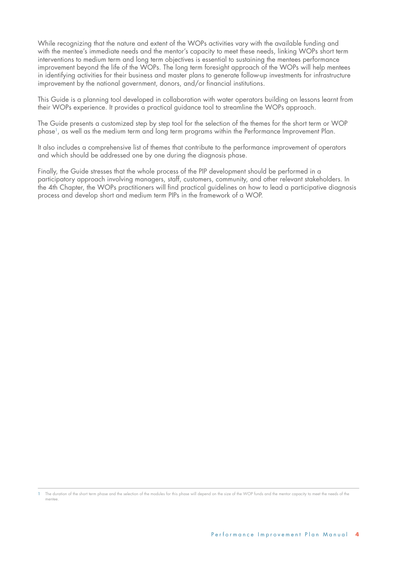While recognizing that the nature and extent of the WOPs activities vary with the available funding and with the mentee's immediate needs and the mentor's capacity to meet these needs, linking WOPs short term interventions to medium term and long term objectives is essential to sustaining the mentees performance improvement beyond the life of the WOPs. The long term foresight approach of the WOPs will help mentees in identifying activities for their business and master plans to generate follow-up investments for infrastructure improvement by the national government, donors, and/or financial institutions.

This Guide is a planning tool developed in collaboration with water operators building on lessons learnt from their WOPs experience. It provides a practical guidance tool to streamline the WOPs approach.

The Guide presents a customized step by step tool for the selection of the themes for the short term or WOP phase1, as well as the medium term and long term programs within the Performance Improvement Plan.

It also includes a comprehensive list of themes that contribute to the performance improvement of operators and which should be addressed one by one during the diagnosis phase.

Finally, the Guide stresses that the whole process of the PIP development should be performed in a participatory approach involving managers, staff, customers, community, and other relevant stakeholders. In the 4th Chapter, the WOPs practitioners will find practical guidelines on how to lead a participative diagnosis process and develop short and medium term PIPs in the framework of a WOP.

<sup>1</sup> The duration of the short term phase and the selection of the modules for this phase will depend on the size of the WOP funds and the mentor capacity to meet the needs of the mentee.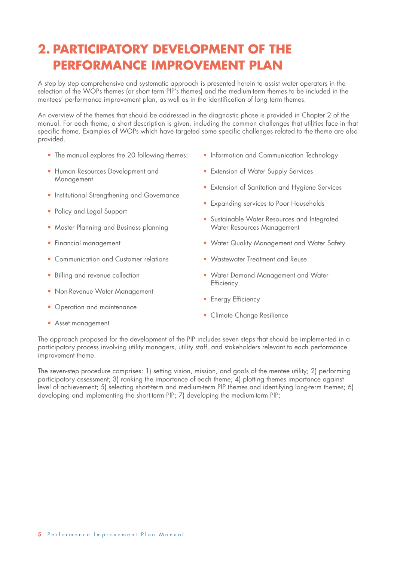## **2. PARTICIPATORY DEVELOPMENT OF THE PERFORMANCE IMPROVEMENT PLAN**

A step by step comprehensive and systematic approach is presented herein to assist water operators in the selection of the WOPs themes (or short term PIP's themes) and the medium-term themes to be included in the mentees' performance improvement plan, as well as in the identification of long term themes.

An overview of the themes that should be addressed in the diagnostic phase is provided in Chapter 2 of the manual. For each theme, a short description is given, including the common challenges that utilities face in that specific theme. Examples of WOPs which have targeted some specific challenges related to the theme are also provided.

- The manual explores the 20 following themes:
- Human Resources Development and Management
- Institutional Strengthening and Governance
- Policy and Legal Support
- Master Planning and Business planning
- Financial management
- Communication and Customer relations
- Billing and revenue collection
- Non-Revenue Water Management
- Operation and maintenance
- Information and Communication Technology
- Extension of Water Supply Services
- Extension of Sanitation and Hygiene Services
- Expanding services to Poor Households
- Sustainable Water Resources and Integrated Water Resources Management
- Water Quality Management and Water Safety
- Wastewater Treatment and Reuse
- Water Demand Management and Water **Efficiency**
- Energy Efficiency
- Climate Change Resilience

• Asset management

The approach proposed for the development of the PIP includes seven steps that should be implemented in a participatory process involving utility managers, utility staff, and stakeholders relevant to each performance improvement theme.

The seven-step procedure comprises: 1) setting vision, mission, and goals of the mentee utility; 2) performing participatory assessment; 3) ranking the importance of each theme; 4) plotting themes importance against level of achievement; 5) selecting short-term and medium-term PIP themes and identifying long-term themes; 6) developing and implementing the short-term PIP; 7) developing the medium-term PIP;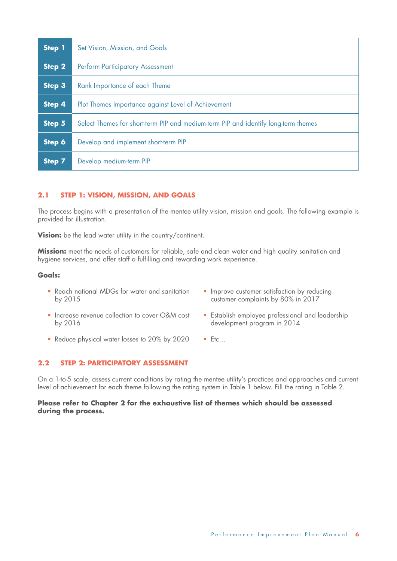| <b>Step 1</b> | Set Vision, Mission, and Goals                                                     |
|---------------|------------------------------------------------------------------------------------|
| Step 2        | <b>Perform Participatory Assessment</b>                                            |
| Step 3        | Rank Importance of each Theme                                                      |
| Step 4        | Plot Themes Importance against Level of Achievement                                |
| Step 5        | Select Themes for short-term PIP and medium-term PIP and identify long-term themes |
| Step 6        | Develop and implement short-term PIP                                               |
| <b>Step 7</b> | Develop medium-term PIP                                                            |

### **2.1 STEP 1: VISION, MISSION, AND GOALS**

The process begins with a presentation of the mentee utility vision, mission and goals. The following example is provided for illustration.

**Vision:** be the lead water utility in the country/continent.

**Mission:** meet the needs of customers for reliable, safe and clean water and high quality sanitation and hygiene services, and offer staff a fulfilling and rewarding work experience.

#### **Goals:**

- Reach national MDGs for water and sanitation by 2015
- Improve customer satisfaction by reducing customer complaints by 80% in 2017

• Establish employee professional and leadership

- Increase revenue collection to cover O&M cost by 2016
- Reduce physical water losses to 20% by 2020
- 
- development program in 2014
- Etc…

### **2.2 STEP 2: PARTICIPATORY ASSESSMENT**

On a 1-to-5 scale, assess current conditions by rating the mentee utility's practices and approaches and current level of achievement for each theme following the rating system in Table 1 below. Fill the rating in Table 2.

### **Please refer to Chapter 2 for the exhaustive list of themes which should be assessed during the process.**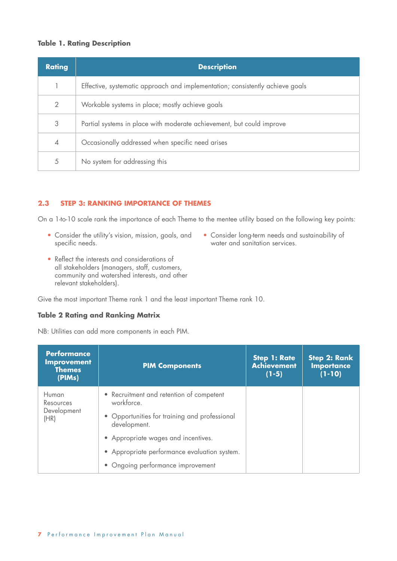### **Table 1. Rating Description**

| <b>Rating</b> | <b>Description</b>                                                            |
|---------------|-------------------------------------------------------------------------------|
|               | Effective, systematic approach and implementation; consistently achieve goals |
| 2             | Workable systems in place; mostly achieve goals                               |
| 3             | Partial systems in place with moderate achievement, but could improve         |
| 4             | Occasionally addressed when specific need arises                              |
| 5             | No system for addressing this                                                 |

### **2.3 STEP 3: RANKING IMPORTANCE OF THEMES**

On a 1-to-10 scale rank the importance of each Theme to the mentee utility based on the following key points:

- Consider the utility's vision, mission, goals, and specific needs.
- Consider long-term needs and sustainability of water and sanitation services.
- Reflect the interests and considerations of all stakeholders (managers, staff, customers, community and watershed interests, and other relevant stakeholders).

Give the most important Theme rank 1 and the least important Theme rank 10.

### **Table 2 Rating and Ranking Matrix**

NB: Utilities can add more components in each PIM.

| <b>Performance</b><br><b>Improvement</b><br><b>Themes</b><br>(PIMs) | <b>PIM Components</b>                                                                                                                                                                                                                               | <b>Step 1: Rate</b><br><b>Achievement</b><br>$(1-5)$ | <b>Step 2: Rank</b><br><b>Importance</b><br>$(1 - 10)$ |
|---------------------------------------------------------------------|-----------------------------------------------------------------------------------------------------------------------------------------------------------------------------------------------------------------------------------------------------|------------------------------------------------------|--------------------------------------------------------|
| Human<br>Resources<br>Development<br>(HR)                           | • Recruitment and retention of competent<br>workforce.<br>• Opportunities for training and professional<br>development.<br>• Appropriate wages and incentives.<br>• Appropriate performance evaluation system.<br>• Ongoing performance improvement |                                                      |                                                        |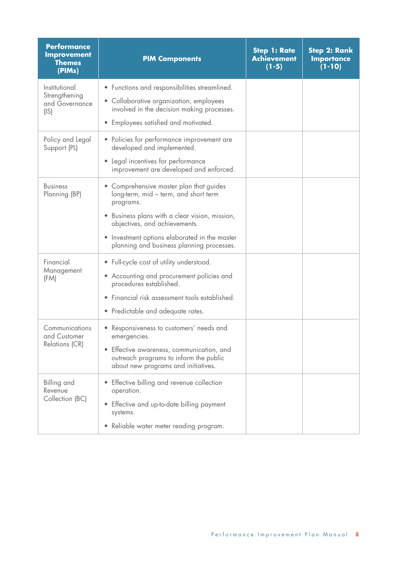| <b>Performance</b><br><b>Improvement</b><br><b>Themes</b><br>(PIMs) | <b>PIM Components</b>                                                                                                                                                                                                                                                        | <b>Step 1: Rate</b><br><b>Achievement</b><br>$(1-5)$ | <b>Step 2: Rank</b><br><b>Importance</b><br>$(1 - 10)$ |
|---------------------------------------------------------------------|------------------------------------------------------------------------------------------------------------------------------------------------------------------------------------------------------------------------------------------------------------------------------|------------------------------------------------------|--------------------------------------------------------|
| Institutional<br>Strengthening<br>and Governance<br>(IS)            | • Functions and responsibilities streamlined.<br>• Collaborative organization, employees<br>involved in the decision making processes.<br>Employees satisfied and motivated.                                                                                                 |                                                      |                                                        |
| Policy and Legal<br>Support (PL)                                    | • Policies for performance improvement are<br>developed and implemented.<br>• Legal incentives for performance<br>improvement are developed and enforced.                                                                                                                    |                                                      |                                                        |
| <b>Business</b><br>Planning (BP)                                    | Comprehensive master plan that guides<br>long-term, mid - term, and short term<br>programs.<br>• Business plans with a clear vision, mission,<br>objectives, and achievements.<br>• Investment options elaborated in the master<br>planning and business planning processes. |                                                      |                                                        |
| Financial<br>Management<br>(FM)                                     | • Full-cycle cost of utility understood.<br>• Accounting and procurement policies and<br>procedures established.<br>Financial risk assessment tools established.<br>• Predictable and adequate rates.                                                                        |                                                      |                                                        |
| Communications<br>and Customer<br>Relations (CR)                    | Responsiveness to customers' needs and<br>$\bullet$<br>emergencies.<br>Effective awareness, communication, and<br>outreach programs to inform the public<br>about new programs and initiatives.                                                                              |                                                      |                                                        |
| Billing and<br>Revenue<br>Collection (BC)                           | Effective billing and revenue collection<br>operation.<br>Effective and up-to-date billing payment<br>$\bullet$<br>systems.<br>Reliable water meter reading program.<br>$\bullet$                                                                                            |                                                      |                                                        |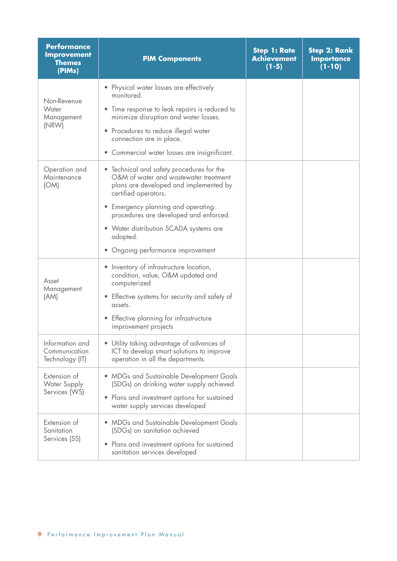| <b>Performance</b><br><b>Improvement</b><br><b>Themes</b><br>(PIMs) | <b>PIM Components</b>                                                                                                                                                 | <b>Step 1: Rate</b><br><b>Achievement</b><br>$(1-5)$ | <b>Step 2: Rank</b><br><b>Importance</b><br>$(1 - 10)$ |
|---------------------------------------------------------------------|-----------------------------------------------------------------------------------------------------------------------------------------------------------------------|------------------------------------------------------|--------------------------------------------------------|
| Non-Revenue<br>Water<br>Management                                  | • Physical water losses are effectively<br>monitored.<br>Time response to leak repairs is reduced to<br>minimize disruption and water losses.                         |                                                      |                                                        |
| (NRW)                                                               | Procedures to reduce illegal water<br>$\bullet$<br>connection are in place.<br>• Commercial water losses are insignificant.                                           |                                                      |                                                        |
| Operation and<br>Maintenance<br>(OM)                                | • Technical and safety procedures for the<br>O&M of water and wastewater treatment<br>plans are developed and implemented by<br>certified operators.                  |                                                      |                                                        |
|                                                                     | Emergency planning and operating<br>procedures are developed and enforced.                                                                                            |                                                      |                                                        |
|                                                                     | • Water distribution SCADA systems are<br>adopted.                                                                                                                    |                                                      |                                                        |
| Asset<br>Management<br>(AM)                                         | Ongoing performance improvement<br>• Inventory of infrastructure location,<br>condition, value, O&M updated and<br>computerized                                       |                                                      |                                                        |
|                                                                     | • Effective systems for security and safety of<br>assets.<br>Effective planning for infrastructure<br>$\bullet$<br>improvement projects                               |                                                      |                                                        |
| Information and<br>Communication<br>Technology (IT)                 | • Utility taking advantage of advances of<br>ICT to develop smart solutions to improve<br>operation in all the departments.                                           |                                                      |                                                        |
| Extension of<br><b>Water Supply</b><br>Services (WS)                | • MDGs and Sustainable Development Goals<br>(SDGs) on drinking water supply achieved<br>Plans and investment options for sustained<br>water supply services developed |                                                      |                                                        |
| Extension of<br>Sanitation<br>Services (SS)                         | • MDGs and Sustainable Development Goals<br>(SDGs) on sanitation achieved<br>Plans and investment options for sustained<br>۰<br>sanitation services developed         |                                                      |                                                        |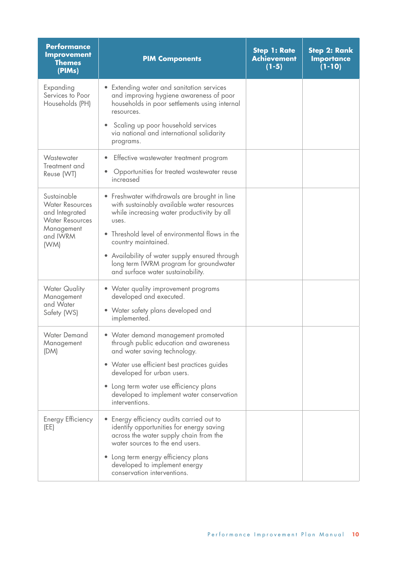| <b>Performance</b><br><b>Improvement</b><br><b>Themes</b><br>(PIMs)               | <b>PIM Components</b>                                                                                                                                            | <b>Step 1: Rate</b><br><b>Achievement</b><br>$(1-5)$ | <b>Step 2: Rank</b><br><b>Importance</b><br>$(1 - 10)$ |
|-----------------------------------------------------------------------------------|------------------------------------------------------------------------------------------------------------------------------------------------------------------|------------------------------------------------------|--------------------------------------------------------|
| Expanding<br>Services to Poor<br>Households (PH)                                  | • Extending water and sanitation services<br>and improving hygiene awareness of poor<br>households in poor settlements using internal<br>resources.              |                                                      |                                                        |
|                                                                                   | Scaling up poor household services<br>via national and international solidarity<br>programs.                                                                     |                                                      |                                                        |
| Wastewater<br>Treatment and<br>Reuse (WT)                                         | Effective wastewater treatment program<br>Opportunities for treated wastewater reuse<br>increased                                                                |                                                      |                                                        |
| Sustainable<br><b>Water Resources</b><br>and Integrated<br><b>Water Resources</b> | • Freshwater withdrawals are brought in line<br>with sustainably available water resources<br>while increasing water productivity by all<br>uses.                |                                                      |                                                        |
| Management<br>and IWRM<br>(WM)                                                    | Threshold level of environmental flows in the<br>country maintained.                                                                                             |                                                      |                                                        |
|                                                                                   | • Availability of water supply ensured through<br>long term IWRM program for groundwater<br>and surface water sustainability.                                    |                                                      |                                                        |
| <b>Water Quality</b><br>Management                                                | • Water quality improvement programs<br>developed and executed.                                                                                                  |                                                      |                                                        |
| and Water<br>Safety (WS)                                                          | • Water safety plans developed and<br>implemented.                                                                                                               |                                                      |                                                        |
| <b>Water Demand</b><br>Management<br>(DM)                                         | • Water demand management promoted<br>through public education and awareness<br>and water saving technology.                                                     |                                                      |                                                        |
|                                                                                   | • Water use efficient best practices guides<br>developed for urban users.                                                                                        |                                                      |                                                        |
|                                                                                   | Long term water use efficiency plans<br>developed to implement water conservation<br>interventions.                                                              |                                                      |                                                        |
| Energy Efficiency<br>(EE)                                                         | Energy efficiency audits carried out to<br>identify opportunities for energy saving<br>across the water supply chain from the<br>water sources to the end users. |                                                      |                                                        |
|                                                                                   | Long term energy efficiency plans<br>developed to implement energy<br>conservation interventions.                                                                |                                                      |                                                        |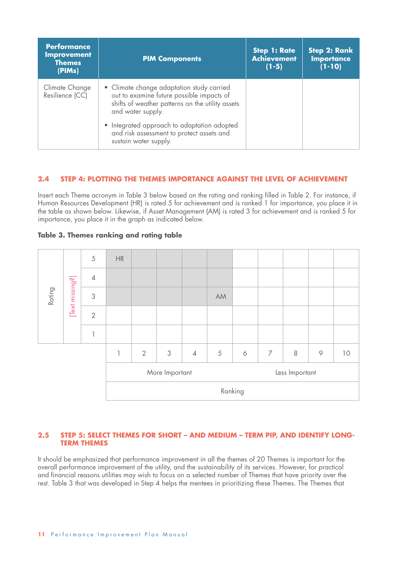| <b>Performance</b><br><b>Improvement</b><br><b>Themes</b><br>(PIMs) | <b>PIM Components</b>                                                                                                                                           | <b>Step 1: Rate</b><br><b>Achievement</b><br>$(1-5)$ | <b>Step 2: Rank</b><br><b>Importance</b><br>$(1 - 10)$ |
|---------------------------------------------------------------------|-----------------------------------------------------------------------------------------------------------------------------------------------------------------|------------------------------------------------------|--------------------------------------------------------|
| Climate Change<br>Resilience (CC)                                   | • Climate change adaptation study carried<br>out to examine future possible impacts of<br>shifts of weather patterns on the utility assets<br>and water supply. |                                                      |                                                        |
|                                                                     | • Integrated approach to adaptation adopted<br>and risk assessment to protect assets and<br>sustain water supply.                                               |                                                      |                                                        |

### **2.4 STEP 4: PLOTTING THE THEMES IMPORTANCE AGAINST THE LEVEL OF ACHIEVEMENT**

Insert each Theme acronym in Table 3 below based on the rating and ranking filled in Table 2. For instance, if Human Resources Development (HR) is rated 5 for achievement and is ranked 1 for importance, you place it in the table as shown below. Likewise, if Asset Management (AM) is rated 3 for achievement and is ranked 5 for importance, you place it in the graph as indicated below.



### **Table 3. Themes ranking and rating table**

### **2.5 STEP 5: SELECT THEMES FOR SHORT – AND MEDIUM – TERM PIP, AND IDENTIFY LONG-TERM THEMES**

It should be emphasized that performance improvement in all the themes of 20 Themes is important for the overall performance improvement of the utility, and the sustainability of its services. However, for practical and financial reasons utilities may wish to focus on a selected number of Themes that have priority over the rest. Table 3 that was developed in Step 4 helps the mentees in prioritizing these Themes. The Themes that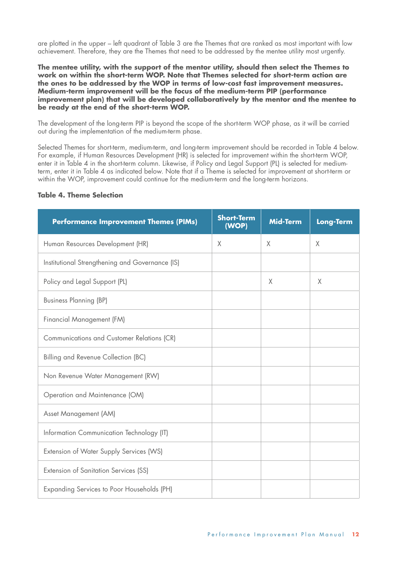are plotted in the upper – left quadrant of Table 3 are the Themes that are ranked as most important with low achievement. Therefore, they are the Themes that need to be addressed by the mentee utility most urgently.

**The mentee utility, with the support of the mentor utility, should then select the Themes to work on within the short-term WOP. Note that Themes selected for short-term action are the ones to be addressed by the WOP in terms of low-cost fast improvement measures. Medium-term improvement will be the focus of the medium-term PIP (performance improvement plan) that will be developed collaboratively by the mentor and the mentee to be ready at the end of the short-term WOP.**

The development of the long-term PIP is beyond the scope of the short-term WOP phase, as it will be carried out during the implementation of the medium-term phase.

Selected Themes for short-term, medium-term, and long-term improvement should be recorded in Table 4 below. For example, if Human Resources Development (HR) is selected for improvement within the short-term WOP, enter it in Table 4 in the short-term column. Likewise, if Policy and Legal Support (PL) is selected for mediumterm, enter it in Table 4 as indicated below. Note that if a Theme is selected for improvement at short-term or within the WOP, improvement could continue for the medium-term and the long-term horizons.

### **Table 4. Theme Selection**

| <b>Performance Improvement Themes (PIMs)</b>    | <b>Short-Term</b><br>(WOP) | <b>Mid-Term</b> | Long-Term |
|-------------------------------------------------|----------------------------|-----------------|-----------|
| Human Resources Development (HR)                | X                          | $\times$        | $\times$  |
| Institutional Strengthening and Governance (IS) |                            |                 |           |
| Policy and Legal Support (PL)                   |                            | $\mathsf X$     | $\chi$    |
| <b>Business Planning (BP)</b>                   |                            |                 |           |
| Financial Management (FM)                       |                            |                 |           |
| Communications and Customer Relations (CR)      |                            |                 |           |
| Billing and Revenue Collection (BC)             |                            |                 |           |
| Non Revenue Water Management (RW)               |                            |                 |           |
| Operation and Maintenance (OM)                  |                            |                 |           |
| Asset Management (AM)                           |                            |                 |           |
| Information Communication Technology (IT)       |                            |                 |           |
| Extension of Water Supply Services (WS)         |                            |                 |           |
| Extension of Sanitation Services (SS)           |                            |                 |           |
| Expanding Services to Poor Households (PH)      |                            |                 |           |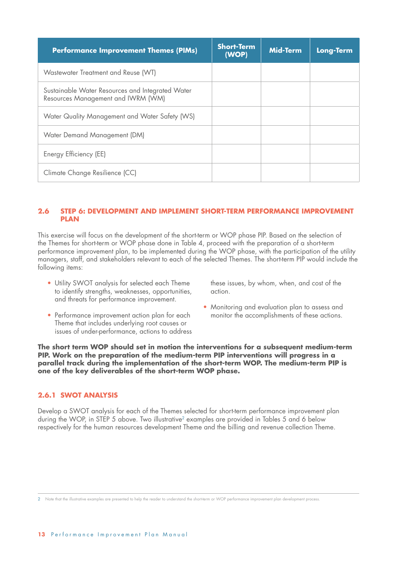| <b>Performance Improvement Themes (PIMs)</b>                                           | <b>Short-Term</b><br>(WOP) | <b>Mid-Term</b> | <b>Long-Term</b> |
|----------------------------------------------------------------------------------------|----------------------------|-----------------|------------------|
| Wastewater Treatment and Reuse (WT)                                                    |                            |                 |                  |
| Sustainable Water Resources and Integrated Water<br>Resources Management and IWRM (WM) |                            |                 |                  |
| Water Quality Management and Water Safety (WS)                                         |                            |                 |                  |
| Water Demand Management (DM)                                                           |                            |                 |                  |
| Energy Efficiency (EE)                                                                 |                            |                 |                  |
| Climate Change Resilience (CC)                                                         |                            |                 |                  |

### **2.6 STEP 6: DEVELOPMENT AND IMPLEMENT SHORT-TERM PERFORMANCE IMPROVEMENT PLAN**

This exercise will focus on the development of the short-term or WOP phase PIP. Based on the selection of the Themes for short-term or WOP phase done in Table 4, proceed with the preparation of a short-term performance improvement plan, to be implemented during the WOP phase, with the participation of the utility managers, staff, and stakeholders relevant to each of the selected Themes. The short-term PIP would include the following items:

• Utility SWOT analysis for selected each Theme to identify strengths, weaknesses, opportunities, and threats for performance improvement.

these issues, by whom, when, and cost of the action.

- Performance improvement action plan for each Theme that includes underlying root causes or issues of under-performance, actions to address
- Monitoring and evaluation plan to assess and monitor the accomplishments of these actions.

**The short term WOP should set in motion the interventions for a subsequent medium-term PIP. Work on the preparation of the medium-term PIP interventions will progress in a parallel track during the implementation of the short-term WOP. The medium-term PIP is one of the key deliverables of the short-term WOP phase.**

### **2.6.1 SWOT ANALYSIS**

Develop a SWOT analysis for each of the Themes selected for short-term performance improvement plan during the WOP, in STEP 5 above. Two illustrative<sup>2</sup> examples are provided in Tables 5 and 6 below respectively for the human resources development Theme and the billing and revenue collection Theme.

<sup>2</sup> Note that the illustrative examples are presented to help the reader to understand the short-term or WOP performance improvement plan development process.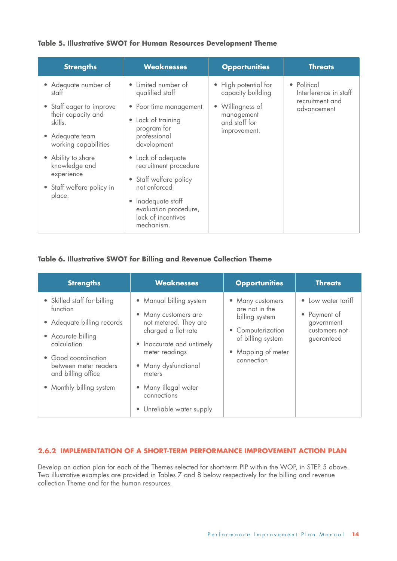### **Table 5. Illustrative SWOT for Human Resources Development Theme**

| <b>Strengths</b>                                                                           | <b>Weaknesses</b>                                                                                                                                                                              | <b>Opportunities</b>                                                                         | <b>Threats</b>                                                         |
|--------------------------------------------------------------------------------------------|------------------------------------------------------------------------------------------------------------------------------------------------------------------------------------------------|----------------------------------------------------------------------------------------------|------------------------------------------------------------------------|
| • Adequate number of<br>statt<br>• Staff eager to improve<br>their capacity and<br>skills. | Limited number of<br>qualified staff<br>• Poor time management<br>Lack of training<br>$\bullet$<br>program for                                                                                 | • High potential for<br>capacity building<br>• Willingness of<br>management<br>and staff for | • Political<br>Interference in staff<br>recruitment and<br>advancement |
| • Adequate team<br>working capabilities                                                    | professional<br>development                                                                                                                                                                    | improvement.                                                                                 |                                                                        |
| • Ability to share<br>knowledge and<br>experience<br>• Staff welfare policy in<br>place.   | • Lack of adequate<br>recruitment procedure<br>Staff welfare policy<br>$\bullet$<br>not enforced<br>Inadequate staff<br>$\bullet$<br>evaluation procedure,<br>lack of incentives<br>mechanism. |                                                                                              |                                                                        |

### **Table 6. Illustrative SWOT for Billing and Revenue Collection Theme**

| <b>Strengths</b>                                                                                                                                                                                             | <b>Weaknesses</b>                                                                                                                                                                                                                                    | <b>Opportunities</b>                                                                                                               | <b>Threats</b>                                                                  |
|--------------------------------------------------------------------------------------------------------------------------------------------------------------------------------------------------------------|------------------------------------------------------------------------------------------------------------------------------------------------------------------------------------------------------------------------------------------------------|------------------------------------------------------------------------------------------------------------------------------------|---------------------------------------------------------------------------------|
| • Skilled staff for billing<br>function<br>• Adequate billing records<br>• Accurate billing<br>calculation<br>• Good coordination<br>between meter readers<br>and billing office<br>• Monthly billing system | • Manual billing system<br>• Many customers are<br>not metered. They are<br>charged a flat rate<br>• Inaccurate and untimely<br>meter readings<br>• Many dysfunctional<br>meters<br>• Many illegal water<br>connections<br>• Unreliable water supply | • Many customers<br>are not in the<br>billing system<br>• Computerization<br>of billing system<br>• Mapping of meter<br>connection | • Low water tariff<br>• Payment of<br>government<br>customers not<br>guaranteed |

### **2.6.2 IMPLEMENTATION OF A SHORT-TERM PERFORMANCE IMPROVEMENT ACTION PLAN**

Develop an action plan for each of the Themes selected for short-term PIP within the WOP, in STEP 5 above. Two illustrative examples are provided in Tables 7 and 8 below respectively for the billing and revenue collection Theme and for the human resources.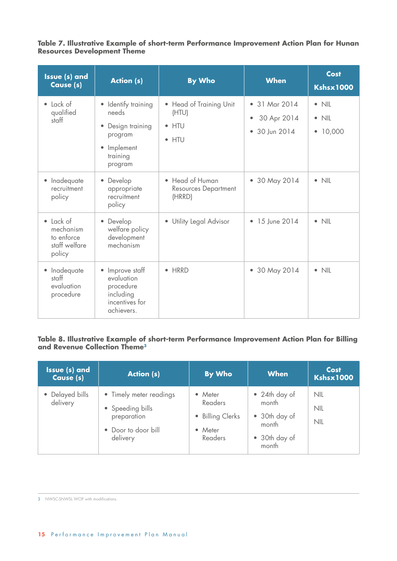**Table 7. Illustrative Example of short-term Performance Improvement Action Plan for Hunan Resources Development Theme**

| <b>Issue (s) and</b><br>Cause (s)                                          | <b>Action (s)</b>                                                                                           | <b>By Who</b>                                                         | <b>When</b>                                                           | Cost<br><b>Kshsx1000</b>                                        |
|----------------------------------------------------------------------------|-------------------------------------------------------------------------------------------------------------|-----------------------------------------------------------------------|-----------------------------------------------------------------------|-----------------------------------------------------------------|
| $\bullet$ Lack of<br>qualified<br>staff                                    | • Identify training<br>needs<br>Design training<br>program<br>Implement<br>$\bullet$<br>training<br>program | • Head of Training Unit<br>(HTU)<br>htu<br>$\bullet$<br>$\bullet$ HTU | • 31 Mar 2014<br>30 Apr 2014<br>$\bullet$<br>30 Jun 2014<br>$\bullet$ | $\bullet$ NIL<br><b>NIL</b><br>$\bullet$<br>10,000<br>$\bullet$ |
| Inadequate<br>$\bullet$<br>recruitment<br>policy                           | Develop<br>$\bullet$<br>appropriate<br>recruitment<br>policy                                                | • Head of Human<br><b>Resources Department</b><br>(HRRD)              | • 30 May 2014                                                         | $\bullet$ NIL                                                   |
| Lack of<br>$\bullet$<br>mechanism<br>to enforce<br>staff welfare<br>policy | Develop<br>welfare policy<br>development<br>mechanism                                                       | <b>Utility Legal Advisor</b><br>$\bullet$                             | 15 June 2014<br>$\bullet$                                             | $\bullet$ NIL                                                   |
| Inadequate<br>$\bullet$<br>staff<br>evaluation<br>procedure                | • Improve staff<br>evaluation<br>procedure<br>including<br>incentives for<br>achievers.                     | $\bullet$ HRRD                                                        | 30 May 2014<br>۰                                                      | $\bullet$ NIL                                                   |

### **Table 8. Illustrative Example of short-term Performance Improvement Action Plan for Billing and Revenue Collection Theme3**

| Issue (s) and<br>Cause (s)  | <b>Action (s)</b>                                                                             | By Who                                                       | <b>When</b>                                                                | <b>Cost</b><br><b>Kshsx1000</b> |
|-----------------------------|-----------------------------------------------------------------------------------------------|--------------------------------------------------------------|----------------------------------------------------------------------------|---------------------------------|
| • Delayed bills<br>delivery | • Timely meter readings<br>• Speeding bills<br>preparation<br>• Door to door bill<br>delivery | • Meter<br>Readers<br>• Billing Clerks<br>• Meter<br>Readers | • 24th day of<br>month<br>• 30th day of<br>month<br>• 30th day of<br>month | <b>NIL</b><br>NIL<br>NIL        |

<sup>3</sup> NWSC-SNWSL WOP with modifications.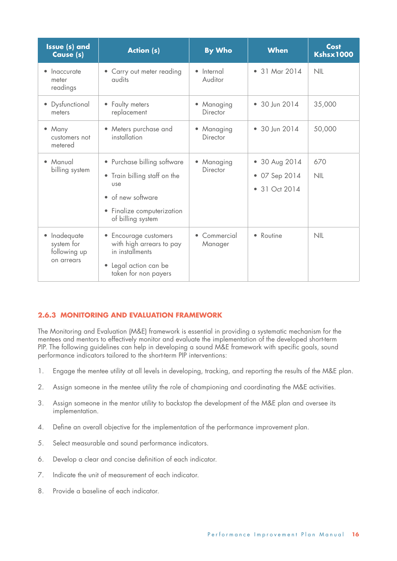| <b>Issue (s) and</b><br>Cause (s)                      | <b>Action (s)</b>                                                                                                                                     | <b>By Who</b>                     | <b>When</b>                                                | Cost<br><b>Kshsx1000</b> |
|--------------------------------------------------------|-------------------------------------------------------------------------------------------------------------------------------------------------------|-----------------------------------|------------------------------------------------------------|--------------------------|
| Inaccurate<br>meter<br>readings                        | Carry out meter reading<br>qudits                                                                                                                     | • Internal<br>Auditor             | • 31 Mar 2014                                              | NIL                      |
| • Dysfunctional<br>meters                              | • Faulty meters<br>replacement                                                                                                                        | Managing<br>Director              | • 30 Jun 2014                                              | 35,000                   |
| • Many<br>customers not<br>metered                     | Meters purchase and<br>$\bullet$<br>installation                                                                                                      | Managing<br>۰<br>Director         | • 30 Jun 2014                                              | 50,000                   |
| Manual<br>billing system                               | • Purchase billing software<br>• Train billing staff on the<br>use<br>• of new software<br>Finalize computerization<br>$\bullet$<br>of billing system | Managing<br>$\bullet$<br>Director | • 30 Aug 2014<br>• 07 Sep 2014<br>31 Oct 2014<br>$\bullet$ | 670<br>NIL               |
| Inadequate<br>system for<br>following up<br>on arrears | • Encourage customers<br>with high arrears to pay<br>in installments<br>• Legal action can be<br>taken for non payers                                 | • Commercial<br>Manager           | • Routine                                                  | NIL                      |

### **2.6.3 MONITORING AND EVALUATION FRAMEWORK**

The Monitoring and Evaluation (M&E) framework is essential in providing a systematic mechanism for the mentees and mentors to effectively monitor and evaluate the implementation of the developed short-term PIP. The following guidelines can help in developing a sound M&E framework with specific goals, sound performance indicators tailored to the short-term PIP interventions:

- 1. Engage the mentee utility at all levels in developing, tracking, and reporting the results of the M&E plan.
- 2. Assign someone in the mentee utility the role of championing and coordinating the M&E activities.
- 3. Assign someone in the mentor utility to backstop the development of the M&E plan and oversee its implementation.
- 4. Define an overall objective for the implementation of the performance improvement plan.
- 5. Select measurable and sound performance indicators.
- 6. Develop a clear and concise definition of each indicator.
- 7. Indicate the unit of measurement of each indicator.
- 8. Provide a baseline of each indicator.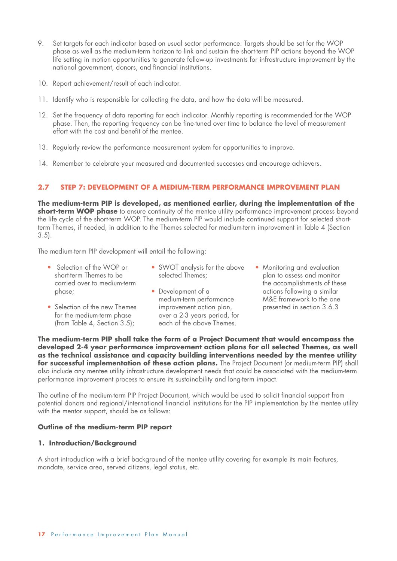- 9. Set targets for each indicator based on usual sector performance. Targets should be set for the WOP phase as well as the medium-term horizon to link and sustain the short-term PIP actions beyond the WOP life setting in motion opportunities to generate follow-up investments for infrastructure improvement by the national government, donors, and financial institutions.
- 10. Report achievement/result of each indicator.
- 11. Identify who is responsible for collecting the data, and how the data will be measured.
- 12. Set the frequency of data reporting for each indicator. Monthly reporting is recommended for the WOP phase. Then, the reporting frequency can be fine-tuned over time to balance the level of measurement effort with the cost and benefit of the mentee.
- 13. Regularly review the performance measurement system for opportunities to improve.
- 14. Remember to celebrate your measured and documented successes and encourage achievers.

### **2.7 STEP 7: DEVELOPMENT OF A MEDIUM-TERM PERFORMANCE IMPROVEMENT PLAN**

**The medium-term PIP is developed, as mentioned earlier, during the implementation of the short-term WOP phase** to ensure continuity of the mentee utility performance improvement process beyond the life cycle of the short-term WOP. The medium-term PIP would include continued support for selected shortterm Themes, if needed, in addition to the Themes selected for medium-term improvement in Table 4 (Section 3.5).

The medium-term PIP development will entail the following:

- Selection of the WOP or short-term Themes to be carried over to medium-term phase;
- SWOT analysis for the above selected Themes;
- Selection of the new Themes for the medium-term phase (from Table 4, Section 3.5);
- Development of a medium-term performance improvement action plan, over a 2-3 years period, for each of the above Themes.
- Monitoring and evaluation plan to assess and monitor the accomplishments of these actions following a similar M&E framework to the one presented in section 3.6.3

**The medium-term PIP shall take the form of a Project Document that would encompass the developed 2-4 year performance improvement action plans for all selected Themes, as well as the technical assistance and capacity building interventions needed by the mentee utility for successful implementation of these action plans.** The Project Document (or medium-term PIP) shall also include any mentee utility infrastructure development needs that could be associated with the medium-term performance improvement process to ensure its sustainability and long-term impact.

The outline of the medium-term PIP Project Document, which would be used to solicit financial support from potential donors and regional/international financial institutions for the PIP implementation by the mentee utility with the mentor support, should be as follows:

### **Outline of the medium-term PIP report**

### **1. Introduction/Background**

A short introduction with a brief background of the mentee utility covering for example its main features, mandate, service area, served citizens, legal status, etc.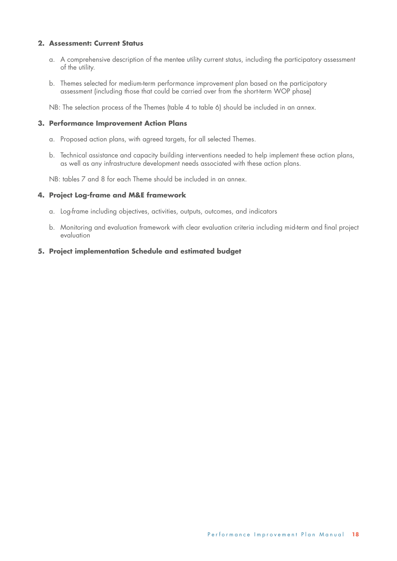### **2. Assessment: Current Status**

- a. A comprehensive description of the mentee utility current status, including the participatory assessment of the utility.
- b. Themes selected for medium-term performance improvement plan based on the participatory assessment (including those that could be carried over from the short-term WOP phase)

NB: The selection process of the Themes (table 4 to table 6) should be included in an annex.

### **3. Performance Improvement Action Plans**

- a. Proposed action plans, with agreed targets, for all selected Themes.
- b. Technical assistance and capacity building interventions needed to help implement these action plans, as well as any infrastructure development needs associated with these action plans.

NB: tables 7 and 8 for each Theme should be included in an annex.

### **4. Project Log-frame and M&E framework**

- a. Log-frame including objectives, activities, outputs, outcomes, and indicators
- b. Monitoring and evaluation framework with clear evaluation criteria including mid-term and final project evaluation

### **5. Project implementation Schedule and estimated budget**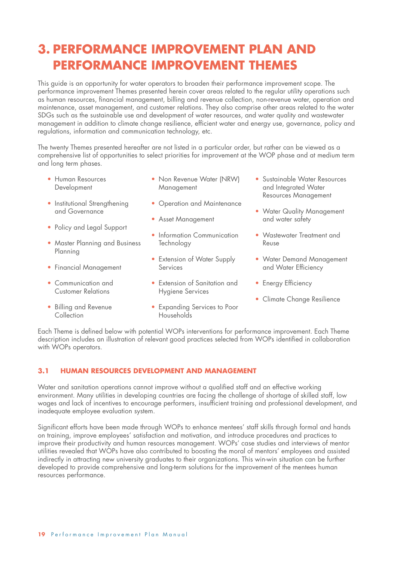## **3. PERFORMANCE IMPROVEMENT PLAN AND PERFORMANCE IMPROVEMENT THEMES**

This guide is an opportunity for water operators to broaden their performance improvement scope. The performance improvement Themes presented herein cover areas related to the regular utility operations such as human resources, financial management, billing and revenue collection, non-revenue water, operation and maintenance, asset management, and customer relations. They also comprise other areas related to the water SDGs such as the sustainable use and development of water resources, and water quality and wastewater management in addition to climate change resilience, efficient water and energy use, governance, policy and regulations, information and communication technology, etc.

The twenty Themes presented hereafter are not listed in a particular order, but rather can be viewed as a comprehensive list of opportunities to select priorities for improvement at the WOP phase and at medium term and long term phases.

- Human Resources Development
- Institutional Strengthening and Governance
- Policy and Legal Support
- Master Planning and Business Planning
- Financial Management
- Communication and Customer Relations
- Billing and Revenue **Collection**
- Non Revenue Water (NRW) Management
- Operation and Maintenance
- Asset Management
- Information Communication **Technology**
- Extension of Water Supply **Services**
- Extension of Sanitation and Hygiene Services
- Expanding Services to Poor Households
- Sustainable Water Resources and Integrated Water Resources Management
- Water Quality Management and water safety
- Wastewater Treatment and Reuse
- Water Demand Management and Water Efficiency
- Energy Efficiency
- Climate Change Resilience

Each Theme is defined below with potential WOPs interventions for performance improvement. Each Theme description includes an illustration of relevant good practices selected from WOPs identified in collaboration with WOPs operators.

### **3.1 HUMAN RESOURCES DEVELOPMENT AND MANAGEMENT**

Water and sanitation operations cannot improve without a qualified staff and an effective working environment. Many utilities in developing countries are facing the challenge of shortage of skilled staff, low wages and lack of incentives to encourage performers, insufficient training and professional development, and inadequate employee evaluation system.

Significant efforts have been made through WOPs to enhance mentees' staff skills through formal and hands on training, improve employees' satisfaction and motivation, and introduce procedures and practices to improve their productivity and human resources management. WOPs' case studies and interviews of mentor utilities revealed that WOPs have also contributed to boosting the moral of mentors' employees and assisted indirectly in attracting new university graduates to their organizations. This win-win situation can be further developed to provide comprehensive and long-term solutions for the improvement of the mentees human resources performance.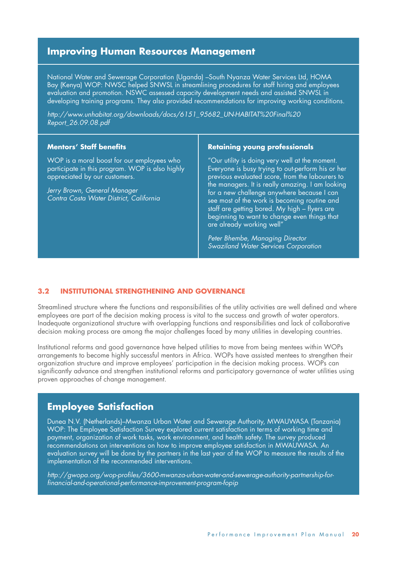### **Improving Human Resources Management**

National Water and Sewerage Corporation (Uganda) –South Nyanza Water Services Ltd, HOMA Bay (Kenya) WOP: NWSC helped SNWSL in streamlining procedures for staff hiring and employees evaluation and promotion. NSWC assessed capacity development needs and assisted SNWSL in developing training programs. They also provided recommendations for improving working conditions.

*http://www.unhabitat.org/downloads/docs/6151\_95682\_UN-HABITAT%20Final%20 Report\_26.09.08.pdf*

### **Mentors' Staff benefits**

WOP is a moral boost for our employees who participate in this program. WOP is also highly appreciated by our customers.

*Jerry Brown, General Manager Contra Costa Water District, California*

#### **Retaining young professionals**

"Our utility is doing very well at the moment. Everyone is busy trying to out-perform his or her previous evaluated score, from the labourers to the managers. It is really amazing. I am looking for a new challenge anywhere because I can see most of the work is becoming routine and staff are getting bored. My high – flyers are beginning to want to change even things that are already working well"

*Peter Bhembe, Managing Director Swaziland Water Services Corporation*

#### **3.2 INSTITUTIONAL STRENGTHENING AND GOVERNANCE**

Streamlined structure where the functions and responsibilities of the utility activities are well defined and where employees are part of the decision making process is vital to the success and growth of water operators. Inadequate organizational structure with overlapping functions and responsibilities and lack of collaborative decision making process are among the major challenges faced by many utilities in developing countries.

Institutional reforms and good governance have helped utilities to move from being mentees within WOPs arrangements to become highly successful mentors in Africa. WOPs have assisted mentees to strengthen their organization structure and improve employees' participation in the decision making process. WOPs can significantly advance and strengthen institutional reforms and participatory governance of water utilities using proven approaches of change management.

### **Employee Satisfaction**

Dunea N.V. (Netherlands)–Mwanza Urban Water and Sewerage Authority, MWAUWASA (Tanzania) WOP: The Employee Satisfaction Survey explored current satisfaction in terms of working time and payment, organization of work tasks, work environment, and health safety. The survey produced recommendations on interventions on how to improve employee satisfaction in MWAUWASA. An evaluation survey will be done by the partners in the last year of the WOP to measure the results of the implementation of the recommended interventions.

*http://gwopa.org/wop-profiles/3600-mwanza-urban-water-and-sewerage-authority-partnership-forfinancial-and-operational-performance-improvement-program-fopip*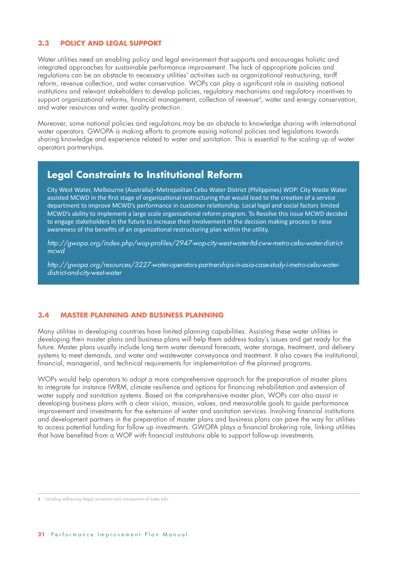### **3.3 POLICY AND LEGAL SUPPORT**

Water utilities need an enabling policy and legal environment that supports and encourages holistic and integrated approaches for sustainable performance improvement. The lack of appropriate policies and regulations can be an obstacle to necessary utilities' activities such as organizational restructuring, tariff reform, revenue collection, and water conservation. WOPs can play a significant role in assisting national institutions and relevant stakeholders to develop policies, regulatory mechanisms and regulatory incentives to support organizational reforms, financial management, collection of revenue<sup>4</sup>, water and energy conservation, and water resources and water quality protection.

Moreover, some national policies and regulations may be an obstacle to knowledge sharing with international water operators. GWOPA is making efforts to promote easing national policies and legislations towards sharing knowledge and experience related to water and sanitation. This is essential to the scaling up of water operators partnerships.

### **Legal Constraints to Institutional Reform**

City West Water, Melbourne (Australia)–Metropolitan Cebu Water District (Philippines) WOP: City Waste Water assisted MCWD in the first stage of organizational restructuring that would lead to the creation of a service department to improve MCWD's performance in customer relationship. Local legal and social factors limited MCWD's ability to implement a large scale organizational reform program. To Resolve this issue MCWD decided to engage stakeholders in the future to increase their involvement in the decision making process to raise awareness of the benefits of an organizational restructuring plan within the utility.

*http://gwopa.org/index.php/wop-profiles/2947-wop-city-west-water-ltd-cww-metro-cebu-water-districtmcwd*

*http://gwopa.org/resources/3227-water-operators-partnerships-in-asia-case-study-i-metro-cebu-waterdistrict-and-city-west-water*

### **3.4 MASTER PLANNING AND BUSINESS PLANNING**

Many utilities in developing countries have limited planning capabilities. Assisting these water utilities in developing their master plans and business plans will help them address today's issues and get ready for the future. Master plans usually include long term water demand forecasts, water storage, treatment, and delivery systems to meet demands, and water and wastewater conveyance and treatment. It also covers the institutional, financial, managerial, and technical requirements for implementation of the planned programs.

WOPs would help operators to adopt a more comprehensive approach for the preparation of master plans to integrate for instance IWRM, climate resilience and options for financing rehabilitation and extension of water supply and sanitation systems. Based on the comprehensive master plan, WOPs can also assist in developing business plans with a clear vision, mission, values, and measurable goals to guide performance improvement and investments for the extension of water and sanitation services. Involving financial institutions and development partners in the preparation of master plans and business plans can pave the way for utilities to access potential funding for follow up investments. GWOPA plays a financial brokering role, linking utilities that have benefited from a WOP with financial institutions able to support follow-up investments.

<sup>4</sup> Including addressing illegal connection and non-payment of water bills.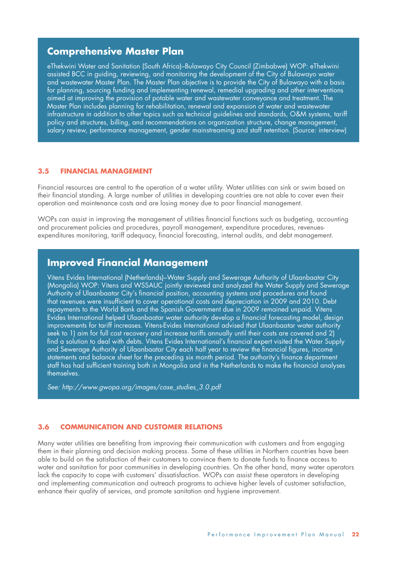### **Comprehensive Master Plan**

eThekwini Water and Sanitation (South Africa)–Bulawayo City Council (Zimbabwe) WOP: eThekwini assisted BCC in guiding, reviewing, and monitoring the development of the City of Bulawayo water and wastewater Master Plan. The Master Plan objective is to provide the City of Bulawayo with a basis for planning, sourcing funding and implementing renewal, remedial upgrading and other interventions aimed at improving the provision of potable water and wastewater conveyance and treatment. The Master Plan includes planning for rehabilitation, renewal and expansion of water and wastewater infrastructure in addition to other topics such as technical guidelines and standards, O&M systems, tariff policy and structures, billing, and recommendations on organization structure, change management, salary review, performance management, gender mainstreaming and staff retention. (Source: interview)

### **3.5 FINANCIAL MANAGEMENT**

Financial resources are central to the operation of a water utility. Water utilities can sink or swim based on their financial standing. A large number of utilities in developing countries are not able to cover even their operation and maintenance costs and are losing money due to poor financial management.

WOPs can assist in improving the management of utilities financial functions such as budgeting, accounting and procurement policies and procedures, payroll management, expenditure procedures, revenuesexpenditures monitoring, tariff adequacy, financial forecasting, internal audits, and debt management.

### **Improved Financial Management**

Vitens Evides International (Netherlands)–Water Supply and Sewerage Authority of Ulaanbaatar City (Mongolia) WOP: Vitens and WSSAUC jointly reviewed and analyzed the Water Supply and Sewerage Authority of Ulaanbaatar City's financial position, accounting systems and procedures and found that revenues were insufficient to cover operational costs and depreciation in 2009 and 2010. Debt repayments to the World Bank and the Spanish Government due in 2009 remained unpaid. Vitens Evides International helped Ulaanbaatar water authority develop a financial forecasting model, design improvements for tariff increases. Vitens-Evides International advised that Ulaanbaatar water authority seek to 1) aim for full cost recovery and increase tariffs annually until their costs are covered and 2) find a solution to deal with debts. Vitens Evides International's financial expert visited the Water Supply and Sewerage Authority of Ulaanbaatar City each half year to review the financial figures, income statements and balance sheet for the preceding six month period. The authority's finance department staff has had sufficient training both in Mongolia and in the Netherlands to make the financial analyses themselves.

*See: http://www.gwopa.org/images/case\_studies\_3.0.pdf*

### **3.6 COMMUNICATION AND CUSTOMER RELATIONS**

Many water utilities are benefiting from improving their communication with customers and from engaging them in their planning and decision making process. Some of these utilities in Northern countries have been able to build on the satisfaction of their customers to convince them to donate funds to finance access to water and sanitation for poor communities in developing countries. On the other hand, many water operators lack the capacity to cope with customers' dissatisfaction. WOPs can assist these operators in developing and implementing communication and outreach programs to achieve higher levels of customer satisfaction, enhance their quality of services, and promote sanitation and hygiene improvement.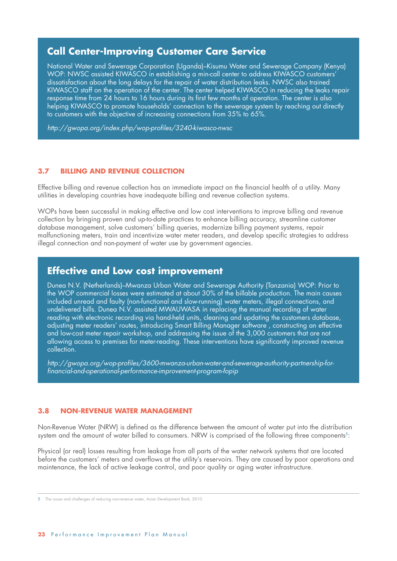### **Call Center-Improving Customer Care Service**

National Water and Sewerage Corporation (Uganda)–Kisumu Water and Sewerage Company (Kenya) WOP: NWSC assisted KIWASCO in establishing a min-call center to address KIWASCO customers' dissatisfaction about the long delays for the repair of water distribution leaks. NWSC also trained KIWASCO staff on the operation of the center. The center helped KIWASCO in reducing the leaks repair response time from 24 hours to 16 hours during its first few months of operation. The center is also helping KIWASCO to promote households' connection to the sewerage system by reaching out directly to customers with the objective of increasing connections from 35% to 65%.

*http://gwopa.org/index.php/wop-profiles/3240-kiwasco-nwsc*

### **3.7 BILLING AND REVENUE COLLECTION**

Effective billing and revenue collection has an immediate impact on the financial health of a utility. Many utilities in developing countries have inadequate billing and revenue collection systems.

WOPs have been successful in making effective and low cost interventions to improve billing and revenue collection by bringing proven and up-to-date practices to enhance billing accuracy, streamline customer database management, solve customers' billing queries, modernize billing payment systems, repair malfunctioning meters, train and incentivize water meter readers, and develop specific strategies to address illegal connection and non-payment of water use by government agencies.

### **Effective and Low cost improvement**

Dunea N.V. (Netherlands)–Mwanza Urban Water and Sewerage Authority (Tanzania) WOP: Prior to the WOP commercial losses were estimated at about 30% of the billable production. The main causes included unread and faulty (non-functional and slow-running) water meters, illegal connections, and undelivered bills. Dunea N.V. assisted MWAUWASA in replacing the manual recording of water reading with electronic recording via hand-held units, cleaning and updating the customers database, adjusting meter readers' routes, introducing Smart Billing Manager software , constructing an effective and low-cost meter repair workshop, and addressing the issue of the 3,000 customers that are not allowing access to premises for meter-reading. These interventions have significantly improved revenue collection.

*http://gwopa.org/wop-profiles/3600-mwanza-urban-water-and-sewerage-authority-partnership-forfinancial-and-operational-performance-improvement-program-fopip*

### **3.8 NON-REVENUE WATER MANAGEMENT**

Non-Revenue Water (NRW) is defined as the difference between the amount of water put into the distribution system and the amount of water billed to consumers. NRW is comprised of the following three components<sup>5</sup>:

Physical (or real) losses resulting from leakage from all parts of the water network systems that are located before the customers' meters and overflows at the utility's reservoirs. They are caused by poor operations and maintenance, the lack of active leakage control, and poor quality or aging water infrastructure.

5 The issues and challenges of reducing non-revenue water, Asian Development Bank, 2010.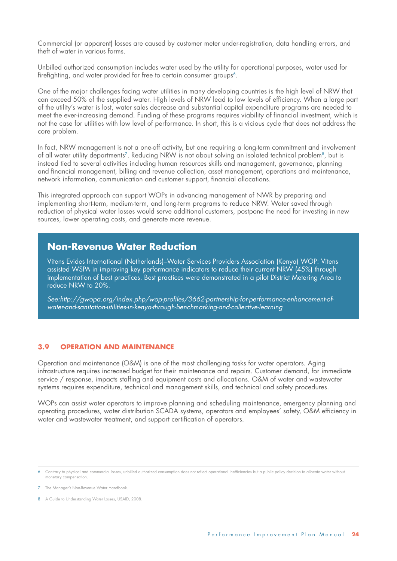Commercial (or apparent) losses are caused by customer meter under-registration, data handling errors, and theft of water in various forms.

Unbilled authorized consumption includes water used by the utility for operational purposes, water used for firefighting, and water provided for free to certain consumer groups<sup>6</sup>.

One of the major challenges facing water utilities in many developing countries is the high level of NRW that can exceed 50% of the supplied water. High levels of NRW lead to low levels of efficiency. When a large part of the utility's water is lost, water sales decrease and substantial capital expenditure programs are needed to meet the ever-increasing demand. Funding of these programs requires viability of financial investment, which is not the case for utilities with low level of performance. In short, this is a vicious cycle that does not address the core problem.

In fact, NRW management is not a one-off activity, but one requiring a long-term commitment and involvement of all water utility departments<sup>7</sup>. Reducing NRW is not about solving an isolated technical problem<sup>8</sup>, but is instead tied to several activities including human resources skills and management, governance, planning and financial management, billing and revenue collection, asset management, operations and maintenance, network information, communication and customer support, financial allocations.

This integrated approach can support WOPs in advancing management of NWR by preparing and implementing short-term, medium-term, and long-term programs to reduce NRW. Water saved through reduction of physical water losses would serve additional customers, postpone the need for investing in new sources, lower operating costs, and generate more revenue.

### **Non-Revenue Water Reduction**

Vitens Evides International (Netherlands)–Water Services Providers Association (Kenya) WOP: Vitens assisted WSPA in improving key performance indicators to reduce their current NRW (45%) through implementation of best practices. Best practices were demonstrated in a pilot District Metering Area to reduce NRW to 20%.

*See:http://gwopa.org/index.php/wop-profiles/3662-partnership-for-performance-enhancement-ofwater-and-sanitation-utilities-in-kenya-through-benchmarking-and-collective-learning*

### **3.9 OPERATION AND MAINTENANCE**

Operation and maintenance (O&M) is one of the most challenging tasks for water operators. Aging infrastructure requires increased budget for their maintenance and repairs. Customer demand, for immediate service / response, impacts staffing and equipment costs and allocations. O&M of water and wastewater systems requires expenditure, technical and management skills, and technical and safety procedures.

WOPs can assist water operators to improve planning and scheduling maintenance, emergency planning and operating procedures, water distribution SCADA systems, operators and employees' safety, O&M efficiency in water and wastewater treatment, and support certification of operators.

<sup>6</sup> Contrary to physical and commercial losses, unbilled authorized consumption does not reflect operational inefficiencies but a public policy decision to allocate water without monetary compensation.

<sup>7</sup> The Manager's Non-Revenue Water Handbook.

<sup>8</sup> A Guide to Understanding Water Losses, USAID, 2008.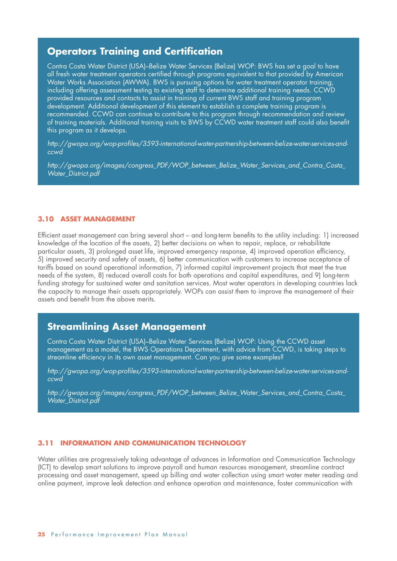### **Operators Training and Certification**

Contra Costa Water District (USA)–Belize Water Services (Belize) WOP: BWS has set a goal to have all fresh water treatment operators certified through programs equivalent to that provided by American Water Works Association (AWWA). BWS is pursuing options for water treatment operator training, including offering assessment testing to existing staff to determine additional training needs. CCWD provided resources and contacts to assist in training of current BWS staff and training program development. Additional development of this element to establish a complete training program is recommended. CCWD can continue to contribute to this program through recommendation and review of training materials. Additional training visits to BWS by CCWD water treatment staff could also benefit this program as it develops.

*http://gwopa.org/wop-profiles/3593-international-water-partnership-between-belize-water-services-andccwd*

*http://gwopa.org/images/congress\_PDF/WOP\_between\_Belize\_Water\_Services\_and\_Contra\_Costa\_ Water\_District.pdf*

#### **3.10 ASSET MANAGEMENT**

Efficient asset management can bring several short – and long-term benefits to the utility including: 1) increased knowledge of the location of the assets, 2) better decisions on when to repair, replace, or rehabilitate particular assets, 3) prolonged asset life, improved emergency response, 4) improved operation efficiency, 5) improved security and safety of assets, 6) better communication with customers to increase acceptance of tariffs based on sound operational information, 7) informed capital improvement projects that meet the true needs of the system, 8) reduced overall costs for both operations and capital expenditures, and 9) long-term funding strategy for sustained water and sanitation services. Most water operators in developing countries lack the capacity to manage their assets appropriately. WOPs can assist them to improve the management of their assets and benefit from the above merits.

### **Streamlining Asset Management**

Contra Costa Water District (USA)–Belize Water Services (Belize) WOP: Using the CCWD asset management as a model, the BWS Operations Department, with advice from CCWD, is taking steps to streamline efficiency in its own asset management. Can you give some examples?

*http://gwopa.org/wop-profiles/3593-international-water-partnership-between-belize-water-services-andccwd*

*http://gwopa.org/images/congress\_PDF/WOP\_between\_Belize\_Water\_Services\_and\_Contra\_Costa\_ Water\_District.pdf*

#### **3.11 INFORMATION AND COMMUNICATION TECHNOLOGY**

Water utilities are progressively taking advantage of advances in Information and Communication Technology (ICT) to develop smart solutions to improve payroll and human resources management, streamline contract processing and asset management, speed up billing and water collection using smart water meter reading and online payment, improve leak detection and enhance operation and maintenance, foster communication with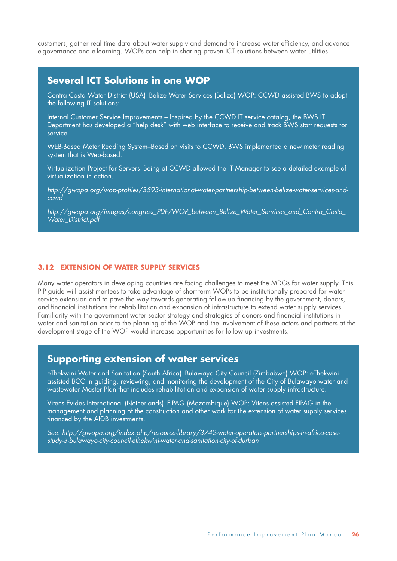customers, gather real time data about water supply and demand to increase water efficiency, and advance e-governance and e-learning. WOPs can help in sharing proven ICT solutions between water utilities.

### **Several ICT Solutions in one WOP**

Contra Costa Water District (USA)–Belize Water Services (Belize) WOP: CCWD assisted BWS to adopt the following IT solutions:

Internal Customer Service Improvements – Inspired by the CCWD IT service catalog, the BWS IT Department has developed a "help desk" with web interface to receive and track BWS staff requests for service.

WEB-Based Meter Reading System–Based on visits to CCWD, BWS implemented a new meter reading system that is Web-based.

Virtualization Project for Servers–Being at CCWD allowed the IT Manager to see a detailed example of virtualization in action.

*http://gwopa.org/wop-profiles/3593-international-water-partnership-between-belize-water-services-andccwd*

*http://gwopa.org/images/congress\_PDF/WOP\_between\_Belize\_Water\_Services\_and\_Contra\_Costa\_ Water\_District.pdf*

#### **3.12 EXTENSION OF WATER SUPPLY SERVICES**

Many water operators in developing countries are facing challenges to meet the MDGs for water supply. This PIP guide will assist mentees to take advantage of short-term WOPs to be institutionally prepared for water service extension and to pave the way towards generating follow-up financing by the government, donors, and financial institutions for rehabilitation and expansion of infrastructure to extend water supply services. Familiarity with the government water sector strategy and strategies of donors and financial institutions in water and sanitation prior to the planning of the WOP and the involvement of these actors and partners at the development stage of the WOP would increase opportunities for follow up investments.

### **Supporting extension of water services**

eThekwini Water and Sanitation (South Africa)–Bulawayo City Council (Zimbabwe) WOP: eThekwini assisted BCC in guiding, reviewing, and monitoring the development of the City of Bulawayo water and wastewater Master Plan that includes rehabilitation and expansion of water supply infrastructure.

Vitens Evides International (Netherlands)–FIPAG (Mozambique) WOP: Vitens assisted FIPAG in the management and planning of the construction and other work for the extension of water supply services financed by the AfDB investments.

*See: http://gwopa.org/index.php/resource-library/3742-water-operators-partnerships-in-africa-casestudy-3-bulawayo-city-council-ethekwini-water-and-sanitation-city-of-durban*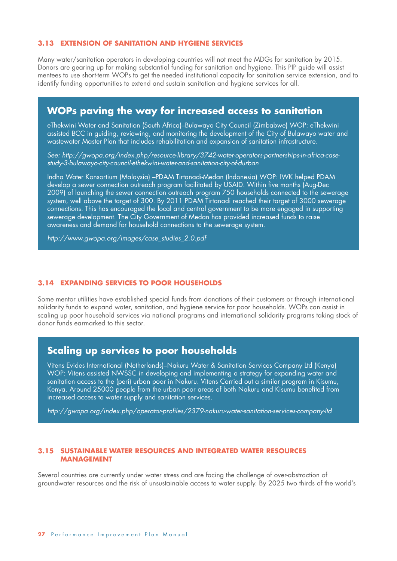#### **3.13 EXTENSION OF SANITATION AND HYGIENE SERVICES**

Many water/sanitation operators in developing countries will not meet the MDGs for sanitation by 2015. Donors are gearing up for making substantial funding for sanitation and hygiene. This PIP guide will assist mentees to use short-term WOPs to get the needed institutional capacity for sanitation service extension, and to identify funding opportunities to extend and sustain sanitation and hygiene services for all.

### **WOPs paving the way for increased access to sanitation**

eThekwini Water and Sanitation (South Africa)–Bulawayo City Council (Zimbabwe) WOP: eThekwini assisted BCC in guiding, reviewing, and monitoring the development of the City of Bulawayo water and wastewater Master Plan that includes rehabilitation and expansion of sanitation infrastructure.

*See: http://gwopa.org/index.php/resource-library/3742-water-operators-partnerships-in-africa-casestudy-3-bulawayo-city-council-ethekwini-water-and-sanitation-city-of-durban*

Indha Water Konsortium (Malaysia) –PDAM Tirtanadi-Medan (Indonesia) WOP: IWK helped PDAM develop a sewer connection outreach program facilitated by USAID. Within five months (Aug-Dec 2009) of launching the sewer connection outreach program 750 households connected to the sewerage system, well above the target of 300. By 2011 PDAM Tirtanadi reached their target of 3000 sewerage connections. This has encouraged the local and central government to be more engaged in supporting sewerage development. The City Government of Medan has provided increased funds to raise awareness and demand for household connections to the sewerage system.

*http://www.gwopa.org/images/case\_studies\_2.0.pdf*

#### **3.14 EXPANDING SERVICES TO POOR HOUSEHOLDS**

Some mentor utilities have established special funds from donations of their customers or through international solidarity funds to expand water, sanitation, and hygiene service for poor households. WOPs can assist in scaling up poor household services via national programs and international solidarity programs taking stock of donor funds earmarked to this sector.

### **Scaling up services to poor households**

Vitens Evides International (Netherlands)–Nakuru Water & Sanitation Services Company Ltd (Kenya) WOP: Vitens assisted NWSSC in developing and implementing a strategy for expanding water and sanitation access to the (peri) urban poor in Nakuru. Vitens Carried out a similar program in Kisumu, Kenya. Around 25000 people from the urban poor areas of both Nakuru and Kisumu benefited from increased access to water supply and sanitation services.

*http://gwopa.org/index.php/operator-profiles/2379-nakuru-water-sanitation-services-company-ltd*

#### **3.15 SUSTAINABLE WATER RESOURCES AND INTEGRATED WATER RESOURCES MANAGEMENT**

Several countries are currently under water stress and are facing the challenge of over-abstraction of groundwater resources and the risk of unsustainable access to water supply. By 2025 two thirds of the world's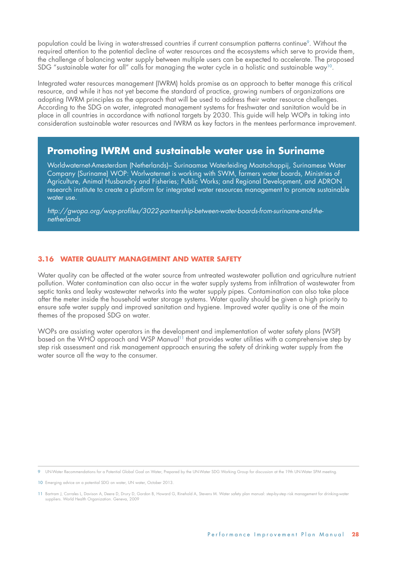population could be living in water-stressed countries if current consumption patterns continue<sup>9</sup>. Without the required attention to the potential decline of water resources and the ecosystems which serve to provide them, the challenge of balancing water supply between multiple users can be expected to accelerate. The proposed SDG "sustainable water for all" calls for managing the water cycle in a holistic and sustainable way<sup>10</sup>.

Integrated water resources management (IWRM) holds promise as an approach to better manage this critical resource, and while it has not yet become the standard of practice, growing numbers of organizations are adopting IWRM principles as the approach that will be used to address their water resource challenges. According to the SDG on water, integrated management systems for freshwater and sanitation would be in place in all countries in accordance with national targets by 2030. This guide will help WOPs in taking into consideration sustainable water resources and IWRM as key factors in the mentees performance improvement.

### **Promoting IWRM and sustainable water use in Suriname**

Worldwaternet-Amesterdam (Netherlands)– Surinaamse Waterleiding Maatschappij, Surinamese Water Company (Suriname) WOP: Worlwaternet is working with SWM, farmers water boards, Ministries of Agriculture, Animal Husbandry and Fisheries; Public Works; and Regional Development, and ADRON research institute to create a platform for integrated water resources management to promote sustainable water use.

*http://gwopa.org/wop-profiles/3022-partnership-between-water-boards-from-suriname-and-thenetherlands*

### **3.16 WATER QUALITY MANAGEMENT AND WATER SAFETY**

Water quality can be affected at the water source from untreated wastewater pollution and agriculture nutrient pollution. Water contamination can also occur in the water supply systems from infiltration of wastewater from septic tanks and leaky wastewater networks into the water supply pipes. Contamination can also take place after the meter inside the household water storage systems. Water quality should be given a high priority to ensure safe water supply and improved sanitation and hygiene. Improved water quality is one of the main themes of the proposed SDG on water.

WOPs are assisting water operators in the development and implementation of water safety plans (WSP) based on the WHO approach and WSP Manual<sup>11</sup> that provides water utilities with a comprehensive step by step risk assessment and risk management approach ensuring the safety of drinking water supply from the water source all the way to the consumer.

9 UN-Water Recommendations for a Potential Global Goal on Water, Prepared by the UN-Water SDG Working Group for discussion at the 19th UN-Water SPM meeting.

10 Emerging advice on a potential SDG on water, UN water, October 2013.

11 Bartram J, Corrales L, Davison A, Deere D, Drury D, Gordon B, Howard G, Rinehold A, Stevens M. Water safety plan manual: step-by-step risk management for drinking-water suppliers. World Health Organization. Geneva, 2009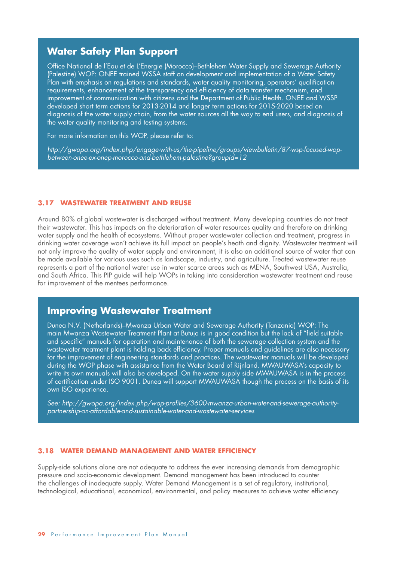### **Water Safety Plan Support**

Office National de l'Eau et de L'Energie (Morocco)–Bethlehem Water Supply and Sewerage Authority (Palestine) WOP: ONEE trained WSSA staff on development and implementation of a Water Safety Plan with emphasis on regulations and standards, water quality monitoring, operators' qualification requirements, enhancement of the transparency and efficiency of data transfer mechanism, and improvement of communication with citizens and the Department of Public Health. ONEE and WSSP developed short term actions for 2013-2014 and longer term actions for 2015-2020 based on diagnosis of the water supply chain, from the water sources all the way to end users, and diagnosis of the water quality monitoring and testing systems.

For more information on this WOP, please refer to:

*http://gwopa.org/index.php/engage-with-us/the-pipeline/groups/viewbulletin/87-wsp-focused-wopbetween-onee-ex-onep-morocco-and-bethlehem-palestine?groupid=12*

#### **3.17 WASTEWATER TREATMENT AND REUSE**

Around 80% of global wastewater is discharged without treatment. Many developing countries do not treat their wastewater. This has impacts on the deterioration of water resources quality and therefore on drinking water supply and the health of ecosystems. Without proper wastewater collection and treatment, progress in drinking water coverage won't achieve its full impact on people's heath and dignity. Wastewater treatment will not only improve the quality of water supply and environment, it is also an additional source of water that can be made available for various uses such as landscape, industry, and agriculture. Treated wastewater reuse represents a part of the national water use in water scarce areas such as MENA, Southwest USA, Australia, and South Africa. This PIP guide will help WOPs in taking into consideration wastewater treatment and reuse for improvement of the mentees performance.

### **Improving Wastewater Treatment**

Dunea N.V. (Netherlands)–Mwanza Urban Water and Sewerage Authority (Tanzania) WOP: The main Mwanza Wastewater Treatment Plant at Butuja is in good condition but the lack of "field suitable and specific" manuals for operation and maintenance of both the sewerage collection system and the wastewater treatment plant is holding back efficiency. Proper manuals and guidelines are also necessary for the improvement of engineering standards and practices. The wastewater manuals will be developed during the WOP phase with assistance from the Water Board of Rijnland. MWAUWASA's capacity to write its own manuals will also be developed. On the water supply side MWAUWASA is in the process of certification under ISO 9001. Dunea will support MWAUWASA though the process on the basis of its own ISO experience.

*See: http://gwopa.org/index.php/wop-profiles/3600-mwanza-urban-water-and-sewerage-authoritypartnership-on-affordable-and-sustainable-water-and-wastewater-services*

#### **3.18 WATER DEMAND MANAGEMENT AND WATER EFFICIENCY**

Supply-side solutions alone are not adequate to address the ever increasing demands from demographic pressure and socio-economic development. Demand management has been introduced to counter the challenges of inadequate supply. Water Demand Management is a set of regulatory, institutional, technological, educational, economical, environmental, and policy measures to achieve water efficiency.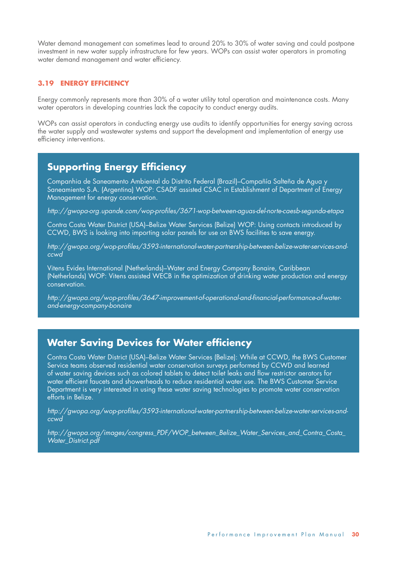Water demand management can sometimes lead to around 20% to 30% of water saving and could postpone investment in new water supply infrastructure for few years. WOPs can assist water operators in promoting water demand management and water efficiency.

### **3.19 ENERGY EFFICIENCY**

Energy commonly represents more than 30% of a water utility total operation and maintenance costs. Many water operators in developing countries lack the capacity to conduct energy audits.

WOPs can assist operators in conducting energy use audits to identify opportunities for energy saving across the water supply and wastewater systems and support the development and implementation of energy use efficiency interventions.

### **Supporting Energy Efficiency**

Companhia de Saneamento Ambiental do Distrito Federal (Brazil)–Compañía Salteña de Agua y Saneamiento S.A. (Argentina) WOP: CSADF assisted CSAC in Establishment of Department of Energy Management for energy conservation.

*http://gwopa-org.upande.com/wop-profiles/3671-wop-between-aguas-del-norte-caesb-segunda-etapa*

Contra Costa Water District (USA)–Belize Water Services (Belize) WOP: Using contacts introduced by CCWD, BWS is looking into importing solar panels for use on BWS facilities to save energy.

*http://gwopa.org/wop-profiles/3593-international-water-partnership-between-belize-water-services-andccwd*

Vitens Evides International (Netherlands)–Water and Energy Company Bonaire, Caribbean (Netherlands) WOP: Vitens assisted WECB in the optimization of drinking water production and energy conservation.

*http://gwopa.org/wop-profiles/3647-improvement-of-operational-and-financial-performance-of-waterand-energy-company-bonaire*

### **Water Saving Devices for Water efficiency**

Contra Costa Water District (USA)–Belize Water Services (Belize): While at CCWD, the BWS Customer Service teams observed residential water conservation surveys performed by CCWD and learned of water saving devices such as colored tablets to detect toilet leaks and flow restrictor aerators for water efficient faucets and showerheads to reduce residential water use. The BWS Customer Service Department is very interested in using these water saving technologies to promote water conservation efforts in Belize.

*http://gwopa.org/wop-profiles/3593-international-water-partnership-between-belize-water-services-andccwd*

*http://gwopa.org/images/congress\_PDF/WOP\_between\_Belize\_Water\_Services\_and\_Contra\_Costa\_ Water\_District.pdf*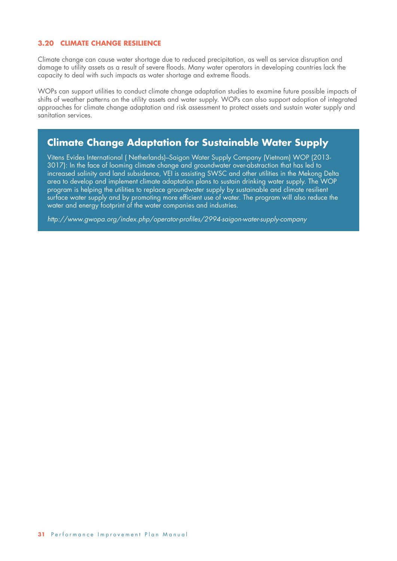### **3.20 CLIMATE CHANGE RESILIENCE**

Climate change can cause water shortage due to reduced precipitation, as well as service disruption and damage to utility assets as a result of severe floods. Many water operators in developing countries lack the capacity to deal with such impacts as water shortage and extreme floods.

WOPs can support utilities to conduct climate change adaptation studies to examine future possible impacts of shifts of weather patterns on the utility assets and water supply. WOPs can also support adoption of integrated approaches for climate change adaptation and risk assessment to protect assets and sustain water supply and sanitation services.

### **Climate Change Adaptation for Sustainable Water Supply**

Vitens Evides International ( Netherlands)–Saigon Water Supply Company (Vietnam) WOP (2013- 3017): In the face of looming climate change and groundwater over-abstraction that has led to increased salinity and land subsidence, VEI is assisting SWSC and other utilities in the Mekong Delta area to develop and implement climate adaptation plans to sustain drinking water supply. The WOP program is helping the utilities to replace groundwater supply by sustainable and climate resilient surface water supply and by promoting more efficient use of water. The program will also reduce the water and energy footprint of the water companies and industries.

*http://www.gwopa.org/index.php/operator-profiles/2994-saigon-water-supply-company*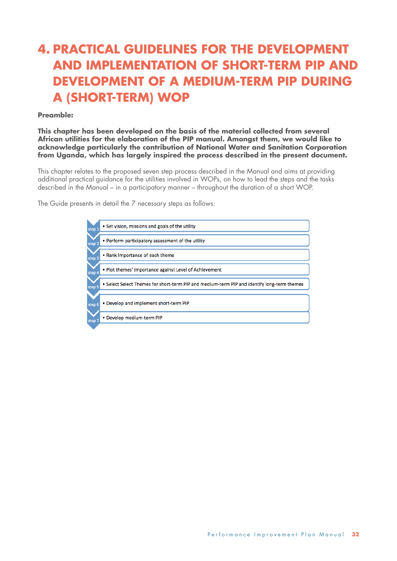## **4. PRACTICAL GUIDELINES FOR THE DEVELOPMENT AND IMPLEMENTATION OF SHORT-TERM PIP AND DEVELOPMENT OF A MEDIUM-TERM PIP DURING A (SHORT-TERM) WOP**

### **Preamble:**

**This chapter has been developed on the basis of the material collected from several African utilities for the elaboration of the PIP manual. Amongst them, we would like to acknowledge particularly the contribution of National Water and Sanitation Corporation from Uganda, which has largely inspired the process described in the present document.**

This chapter relates to the proposed seven step process described in the Manual and aims at providing additional practical guidance for the utilities involved in WOPs, on how to lead the steps and the tasks described in the Manual – in a participatory manner – throughout the duration of a short WOP.

The Guide presents in detail the 7 necessary steps as follows:

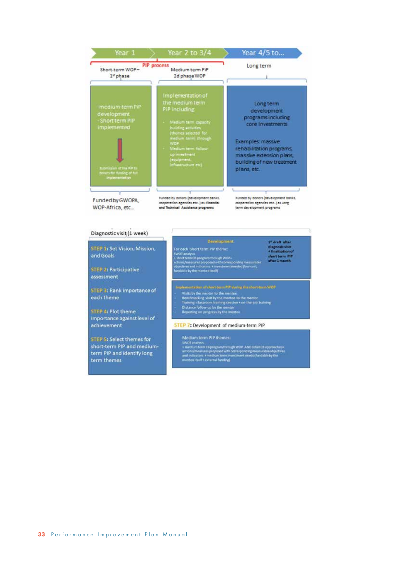

#### Diagnostic visit (1 week) 1" draft after diagnosis visit<br>+ finalization of STEP 1: Set Vision, Mission, For each 'short term PIP theme: ror each<br>- Stort analysis<br>- short term OB program through WOP-<br>echors/measures proposed with corresponding measurable<br>bipictives and indicators + investment needed (low-cost,<br>landable by the member itself)<br>landable by the and Goals short term PIP **STEP 2: Participative** assessment STEP 3: Rank importance of Visits by the mentor to the menter<br>denotes to the menter denotes to the mentor Training clusteroom training<br>Training clusters of the mentor state of the poster state of the poster<br>Distance follow up by the mentor each theme STEP 4: Plot theme importance against level of achievement STEP 7: Development of medium-term PIP STEP 5: Select themes for

short-term PIP and mediumterm PIP and identify long term themes

Medium term PIP themes: metatum terrim Prix Enesines.<br>
3 MOT analysis.<br>
4 medium term CB program through WOP. AND other CB approaches:<br>
actions/meatures.proposed with corresponding measurable objectives<br>
and indicators: *4 medium term investment*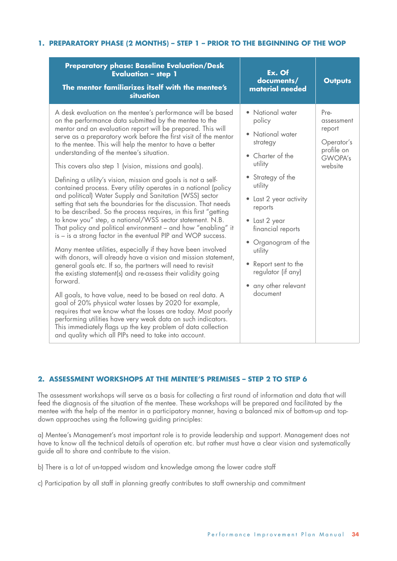### **1. PREPARATORY PHASE (2 MONTHS) – STEP 1 – PRIOR TO THE BEGINNING OF THE WOP**

| <b>Preparatory phase: Baseline Evaluation/Desk</b><br><b>Evaluation - step 1</b><br>The mentor familiarizes itself with the mentee's<br>situation                                                                                                                                                                                                                                                                                                                                                                                                                                                                                                                                                                                                                                                                                                                                                                                                                                                                                                                                                                                                                                                                                                                                                                                                                                                                                                                                                                                                                                                                           | Ex. Of<br>documents/<br>material needed                                                                                                                                                                                                                                                                                  | <b>Outputs</b>                                                                        |
|-----------------------------------------------------------------------------------------------------------------------------------------------------------------------------------------------------------------------------------------------------------------------------------------------------------------------------------------------------------------------------------------------------------------------------------------------------------------------------------------------------------------------------------------------------------------------------------------------------------------------------------------------------------------------------------------------------------------------------------------------------------------------------------------------------------------------------------------------------------------------------------------------------------------------------------------------------------------------------------------------------------------------------------------------------------------------------------------------------------------------------------------------------------------------------------------------------------------------------------------------------------------------------------------------------------------------------------------------------------------------------------------------------------------------------------------------------------------------------------------------------------------------------------------------------------------------------------------------------------------------------|--------------------------------------------------------------------------------------------------------------------------------------------------------------------------------------------------------------------------------------------------------------------------------------------------------------------------|---------------------------------------------------------------------------------------|
| A desk evaluation on the mentee's performance will be based<br>on the performance data submitted by the mentee to the<br>mentor and an evaluation report will be prepared. This will<br>serve as a preparatory work before the first visit of the mentor<br>to the mentee. This will help the mentor to have a better<br>understanding of the mentee's situation.<br>This covers also step 1 (vision, missions and goals).<br>Defining a utility's vision, mission and goals is not a self-<br>contained process. Every utility operates in a national (policy<br>and political) Water Supply and Sanitation (WSS) sector<br>setting that sets the boundaries for the discussion. That needs<br>to be described. So the process requires, in this first "getting<br>to know you" step, a national/WSS sector statement. N.B.<br>That policy and political environment – and how "enabling" it<br>is – is a strong factor in the eventual PIP and WOP success.<br>Many mentee utilities, especially if they have been involved<br>with donors, will already have a vision and mission statement,<br>general goals etc. If so, the partners will need to revisit<br>the existing statement(s) and re-assess their validity going<br>forward.<br>All goals, to have value, need to be based on real data. A<br>goal of 20% physical water losses by 2020 for example,<br>requires that we know what the losses are today. Most poorly<br>performing utilities have very weak data on such indicators.<br>This immediately flags up the key problem of data collection<br>and quality which all PIPs need to take into account. | • National water<br>policy<br>• National water<br>strategy<br>• Charter of the<br>utility<br>• Strategy of the<br>utility<br>• Last 2 year activity<br>reports<br>• Last 2 year<br>financial reports<br>• Organogram of the<br>utility<br>• Report sent to the<br>regulator (if any)<br>• any other relevant<br>document | Pre-<br>assessment<br>report<br>Operator's<br>profile on<br><b>GWOPA's</b><br>website |

### **2. ASSESSMENT WORKSHOPS AT THE MENTEE'S PREMISES – STEP 2 TO STEP 6**

The assessment workshops will serve as a basis for collecting a first round of information and data that will feed the diagnosis of the situation of the mentee. These workshops will be prepared and facilitated by the mentee with the help of the mentor in a participatory manner, having a balanced mix of bottom-up and topdown approaches using the following guiding principles:

a) Mentee's Management's most important role is to provide leadership and support. Management does not have to know all the technical details of operation etc. but rather must have a clear vision and systematically guide all to share and contribute to the vision.

b) There is a lot of un-tapped wisdom and knowledge among the lower cadre staff

c) Participation by all staff in planning greatly contributes to staff ownership and commitment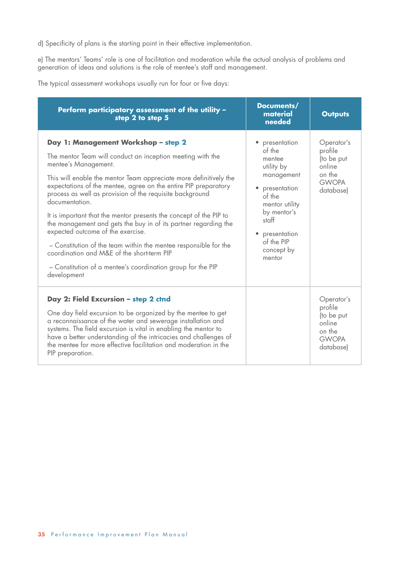d) Specificity of plans is the starting point in their effective implementation.

e) The mentors' Teams' role is one of facilitation and moderation while the actual analysis of problems and generation of ideas and solutions is the role of mentee's staff and management.

The typical assessment workshops usually run for four or five days:

| Perform participatory assessment of the utility -<br>step 2 to step 5                                                                                                                                                                                                                                                                                                                                                                                                                                                                                                                                                                                                                                                         | Documents/<br>material<br>needed                                                                                                                                                                        | <b>Outputs</b>                                                                       |
|-------------------------------------------------------------------------------------------------------------------------------------------------------------------------------------------------------------------------------------------------------------------------------------------------------------------------------------------------------------------------------------------------------------------------------------------------------------------------------------------------------------------------------------------------------------------------------------------------------------------------------------------------------------------------------------------------------------------------------|---------------------------------------------------------------------------------------------------------------------------------------------------------------------------------------------------------|--------------------------------------------------------------------------------------|
| Day 1: Management Workshop - step 2<br>The mentor Team will conduct an inception meeting with the<br>mentee's Management.<br>This will enable the mentor Team appreciate more definitively the<br>expectations of the mentee, agree on the entire PIP preparatory<br>process as well as provision of the requisite background<br>documentation.<br>It is important that the mentor presents the concept of the PIP to<br>the management and gets the buy in of its partner regarding the<br>expected outcome of the exercise.<br>- Constitution of the team within the mentee responsible for the<br>coordination and M&E of the short-term PIP<br>- Constitution of a mentee's coordination group for the PIP<br>development | • presentation<br>of the<br>mentee<br>utility by<br>management<br>• presentation<br>of the<br>mentor utility<br>by mentor's<br>staff<br>presentation<br>$\bullet$<br>of the PIP<br>concept by<br>mentor | Operator's<br>profile<br>(to be put<br>online<br>on the<br><b>GWOPA</b><br>database) |
| Day 2: Field Excursion - step 2 ctnd<br>One day field excursion to be organized by the mentee to get<br>a reconnaissance of the water and sewerage installation and<br>systems. The field excursion is vital in enabling the mentor to<br>have a better understanding of the intricacies and challenges of<br>the mentee for more effective facilitation and moderation in the<br>PIP preparation.                                                                                                                                                                                                                                                                                                                            |                                                                                                                                                                                                         | Operator's<br>profile<br>(to be put<br>online<br>on the<br><b>GWOPA</b><br>database) |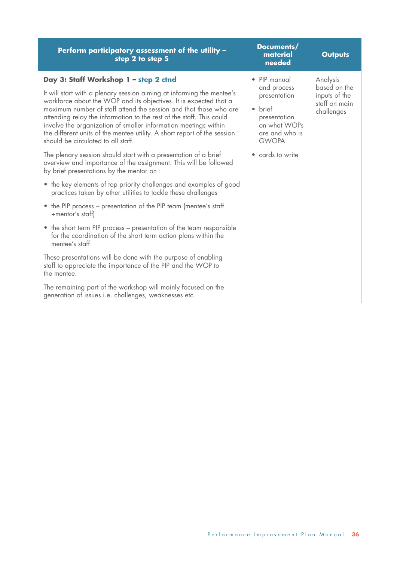| Perform participatory assessment of the utility -<br>step 2 to step 5                                                                                                                                                                                                                                                                                                                                                                                                                                                                                                                                                                                                                                                                                                           | Documents/<br>material<br>needed                                                                                                                        | <b>Outputs</b>                                                           |
|---------------------------------------------------------------------------------------------------------------------------------------------------------------------------------------------------------------------------------------------------------------------------------------------------------------------------------------------------------------------------------------------------------------------------------------------------------------------------------------------------------------------------------------------------------------------------------------------------------------------------------------------------------------------------------------------------------------------------------------------------------------------------------|---------------------------------------------------------------------------------------------------------------------------------------------------------|--------------------------------------------------------------------------|
| Day 3: Staff Workshop 1 - step 2 ctnd<br>It will start with a plenary session aiming at informing the mentee's<br>workforce about the WOP and its objectives. It is expected that a<br>maximum number of staff attend the session and that those who are<br>attending relay the information to the rest of the staff. This could<br>involve the organization of smaller information meetings within<br>the different units of the mentee utility. A short report of the session<br>should be circulated to all staff.<br>The plenary session should start with a presentation of a brief<br>overview and importance of the assignment. This will be followed<br>by brief presentations by the mentor on :<br>• the key elements of top priority challenges and examples of good | • PIP manual<br>and process<br>presentation<br>brief<br>$\bullet$<br>presentation<br>on what WOPs<br>are and who is<br><b>GWOPA</b><br>• cards to write | Analysis<br>based on the<br>inputs of the<br>staff on main<br>challenges |
| practices taken by other utilities to tackle these challenges<br>• the PIP process – presentation of the PIP team (mentee's staff<br>+mentor's staff)                                                                                                                                                                                                                                                                                                                                                                                                                                                                                                                                                                                                                           |                                                                                                                                                         |                                                                          |
| • the short term PIP process – presentation of the team responsible<br>for the coordination of the short term action plans within the<br>mentee's staff                                                                                                                                                                                                                                                                                                                                                                                                                                                                                                                                                                                                                         |                                                                                                                                                         |                                                                          |
| These presentations will be done with the purpose of enabling<br>staff to appreciate the importance of the PIP and the WOP to<br>the mentee.                                                                                                                                                                                                                                                                                                                                                                                                                                                                                                                                                                                                                                    |                                                                                                                                                         |                                                                          |
| The remaining part of the workshop will mainly focused on the<br>generation of issues i.e. challenges, weaknesses etc.                                                                                                                                                                                                                                                                                                                                                                                                                                                                                                                                                                                                                                                          |                                                                                                                                                         |                                                                          |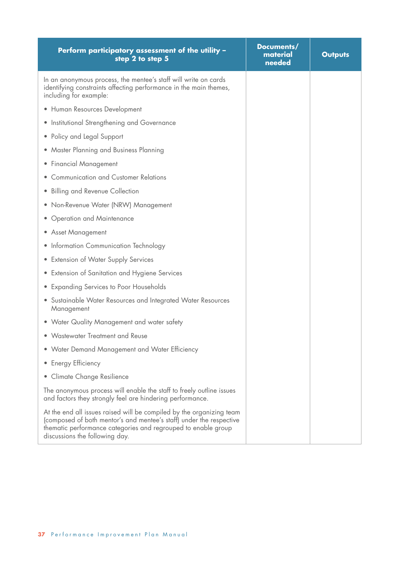| Perform participatory assessment of the utility -<br>step 2 to step 5                                                                                                                                                                          | Documents/<br>material<br>needed | <b>Outputs</b> |
|------------------------------------------------------------------------------------------------------------------------------------------------------------------------------------------------------------------------------------------------|----------------------------------|----------------|
| In an anonymous process, the mentee's staff will write on cards<br>identifying constraints affecting performance in the main themes,<br>including for example:                                                                                 |                                  |                |
| · Human Resources Development                                                                                                                                                                                                                  |                                  |                |
| • Institutional Strengthening and Governance                                                                                                                                                                                                   |                                  |                |
| • Policy and Legal Support                                                                                                                                                                                                                     |                                  |                |
| Master Planning and Business Planning<br>$\bullet$                                                                                                                                                                                             |                                  |                |
| <b>Financial Management</b><br>$\bullet$                                                                                                                                                                                                       |                                  |                |
| <b>Communication and Customer Relations</b>                                                                                                                                                                                                    |                                  |                |
| <b>Billing and Revenue Collection</b><br>$\bullet$                                                                                                                                                                                             |                                  |                |
| • Non-Revenue Water (NRW) Management                                                                                                                                                                                                           |                                  |                |
| • Operation and Maintenance                                                                                                                                                                                                                    |                                  |                |
| • Asset Management                                                                                                                                                                                                                             |                                  |                |
| • Information Communication Technology                                                                                                                                                                                                         |                                  |                |
| <b>Extension of Water Supply Services</b><br>$\bullet$                                                                                                                                                                                         |                                  |                |
| • Extension of Sanitation and Hygiene Services                                                                                                                                                                                                 |                                  |                |
| • Expanding Services to Poor Households                                                                                                                                                                                                        |                                  |                |
| • Sustainable Water Resources and Integrated Water Resources<br>Management                                                                                                                                                                     |                                  |                |
| • Water Quality Management and water safety                                                                                                                                                                                                    |                                  |                |
| • Wastewater Treatment and Reuse                                                                                                                                                                                                               |                                  |                |
| • Water Demand Management and Water Efficiency                                                                                                                                                                                                 |                                  |                |
| <b>Energy Efficiency</b><br>$\bullet$                                                                                                                                                                                                          |                                  |                |
| Climate Change Resilience                                                                                                                                                                                                                      |                                  |                |
| The anonymous process will enable the staff to freely outline issues<br>and factors they strongly feel are hindering performance.                                                                                                              |                                  |                |
| At the end all issues raised will be compiled by the organizing team<br>(composed of both mentor's and mentee's staff) under the respective<br>thematic performance categories and regrouped to enable group<br>discussions the following day. |                                  |                |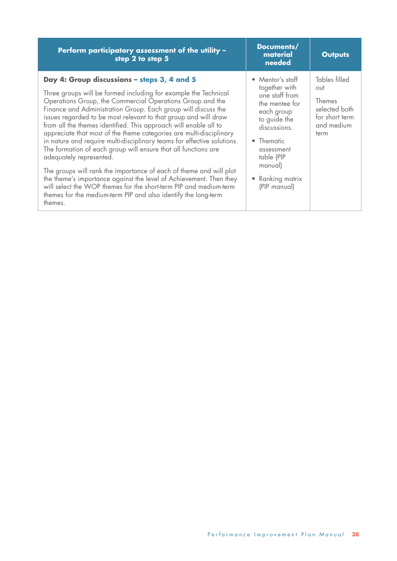| Perform participatory assessment of the utility -<br>step 2 to step 5                                                                                                                                                                                                                                                                                                                                                                                                                                                                                                                                                                                                                                                                                                                                                                                                                                                            | Documents/<br>material<br>needed                                                                                                                                                                                     | <b>Outputs</b>                                                                          |
|----------------------------------------------------------------------------------------------------------------------------------------------------------------------------------------------------------------------------------------------------------------------------------------------------------------------------------------------------------------------------------------------------------------------------------------------------------------------------------------------------------------------------------------------------------------------------------------------------------------------------------------------------------------------------------------------------------------------------------------------------------------------------------------------------------------------------------------------------------------------------------------------------------------------------------|----------------------------------------------------------------------------------------------------------------------------------------------------------------------------------------------------------------------|-----------------------------------------------------------------------------------------|
| Day 4: Group discussions - steps 3, 4 and 5<br>Three groups will be formed including for example the Technical<br>Operations Group, the Commercial Operations Group and the<br>Finance and Administration Group. Each group will discuss the<br>issues regarded to be most relevant to that group and will draw<br>from all the themes identified. This approach will enable all to<br>appreciate that most of the theme categories are multi-disciplinary<br>in nature and require multi-disciplinary teams for effective solutions.<br>The formation of each group will ensure that all functions are<br>adequately represented.<br>The groups will rank the importance of each of theme and will plot<br>the theme's importance against the level of Achievement. Then they<br>will select the WOP themes for the short-term PIP and medium-term<br>themes for the medium-term PIP and also identify the long-term<br>themes. | $\bullet$ Mentor's staff<br>together with<br>one staff from<br>the mentee for<br>each group<br>to guide the<br>discussions.<br>• Thematic<br>assessment<br>table (PIP<br>manual)<br>• Ranking matrix<br>(PIP manual) | Tables filled<br>out<br>Themes<br>selected both<br>for short term<br>and medium<br>term |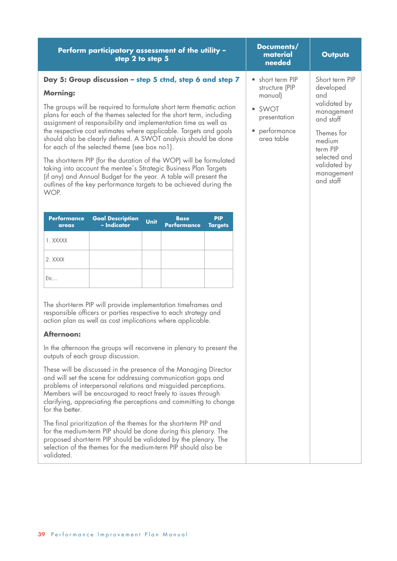| Perform participatory assessment of the utility -<br>step 2 to step 5                                                                                                                                                                                                                                                                                                                                                                                                                                                                                                                                                                                                                                                                                                                                                                                                                                                                                                                     | Documents/<br>material<br>needed                                                                   | <b>Outputs</b>                                                                                                                                                               |
|-------------------------------------------------------------------------------------------------------------------------------------------------------------------------------------------------------------------------------------------------------------------------------------------------------------------------------------------------------------------------------------------------------------------------------------------------------------------------------------------------------------------------------------------------------------------------------------------------------------------------------------------------------------------------------------------------------------------------------------------------------------------------------------------------------------------------------------------------------------------------------------------------------------------------------------------------------------------------------------------|----------------------------------------------------------------------------------------------------|------------------------------------------------------------------------------------------------------------------------------------------------------------------------------|
| Day 5: Group discussion – step 5 ctnd, step 6 and step 7<br><b>Morning:</b><br>The groups will be required to formulate short term thematic action<br>plans for each of the themes selected for the short term, including<br>assignment of responsibility and implementation time as well as<br>the respective cost estimates where applicable. Targets and goals<br>should also be clearly defined. A SWOT analysis should be done<br>for each of the selected theme (see box no1).<br>The short-term PIP (for the duration of the WOP) will be formulated<br>taking into account the mentee's Strategic Business Plan Targets<br>(if any) and Annual Budget for the year. A table will present the<br>outlines of the key performance targets to be achieved during the<br>WOP.                                                                                                                                                                                                         | short term PIP<br>structure (PIP<br>manual)<br>• SWOT<br>presentation<br>performance<br>area table | Short term PIP<br>developed<br>and<br>validated by<br>management<br>and staff<br>Themes for<br>medium<br>term PIP<br>selected and<br>validated by<br>management<br>and staff |
| <b>Performance</b><br><b>Goal Description</b><br><b>Base</b><br><b>PIP</b><br><b>Unit</b><br>- Indicator<br><b>Performance</b><br><b>Targets</b><br>areas<br>1. XXXXX<br>2. XXXX<br>Etc                                                                                                                                                                                                                                                                                                                                                                                                                                                                                                                                                                                                                                                                                                                                                                                                   |                                                                                                    |                                                                                                                                                                              |
| The short-term PIP will provide implementation timeframes and<br>responsible officers or parties respective to each strategy and<br>action plan as well as cost implications where applicable.<br><b>Afternoon:</b><br>In the afternoon the groups will reconvene in plenary to present the<br>outputs of each group discussion.<br>These will be discussed in the presence of the Managing Director<br>and will set the scene for addressing communication gaps and<br>problems of interpersonal relations and misguided perceptions.<br>Members will be encouraged to react freely to issues through<br>clarifying, appreciating the perceptions and committing to change<br>for the better.<br>The final prioritization of the themes for the short-term PIP and<br>for the medium-term PIP should be done during this plenary. The<br>proposed short-term PIP should be validated by the plenary. The<br>selection of the themes for the medium-term PIP should also be<br>validated. |                                                                                                    |                                                                                                                                                                              |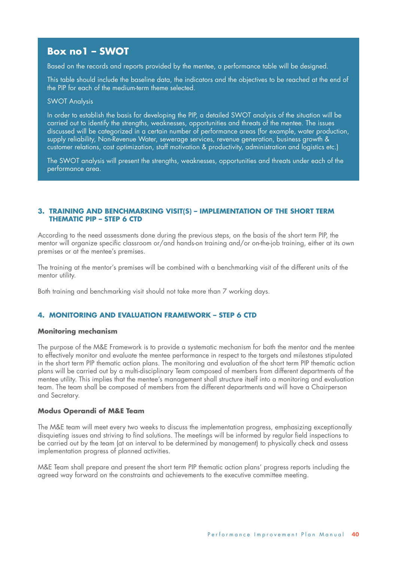### **Box no1 – SWOT**

Based on the records and reports provided by the mentee, a performance table will be designed.

This table should include the baseline data, the indicators and the objectives to be reached at the end of the PIP for each of the medium-term theme selected.

#### SWOT Analysis

In order to establish the basis for developing the PIP, a detailed SWOT analysis of the situation will be carried out to identify the strengths, weaknesses, opportunities and threats of the mentee. The issues discussed will be categorized in a certain number of performance areas (for example, water production, supply reliability, Non-Revenue Water, sewerage services, revenue generation, business growth & customer relations, cost optimization, staff motivation & productivity, administration and logistics etc.)

The SWOT analysis will present the strengths, weaknesses, opportunities and threats under each of the performance area.

#### **3. TRAINING AND BENCHMARKING VISIT(S) – IMPLEMENTATION OF THE SHORT TERM THEMATIC PIP – STEP 6 CTD**

According to the need assessments done during the previous steps, on the basis of the short term PIP, the mentor will organize specific classroom or/and hands-on training and/or on-the-job training, either at its own premises or at the mentee's premises.

The training at the mentor's premises will be combined with a benchmarking visit of the different units of the mentor utility.

Both training and benchmarking visit should not take more than 7 working days.

#### **4. MONITORING AND EVALUATION FRAMEWORK – STEP 6 CTD**

#### **Monitoring mechanism**

The purpose of the M&E Framework is to provide a systematic mechanism for both the mentor and the mentee to effectively monitor and evaluate the mentee performance in respect to the targets and milestones stipulated in the short term PIP thematic action plans. The monitoring and evaluation of the short term PIP thematic action plans will be carried out by a multi-disciplinary Team composed of members from different departments of the mentee utility. This implies that the mentee's management shall structure itself into a monitoring and evaluation team. The team shall be composed of members from the different departments and will have a Chairperson and Secretary.

#### **Modus Operandi of M&E Team**

The M&E team will meet every two weeks to discuss the implementation progress, emphasizing exceptionally disquieting issues and striving to find solutions. The meetings will be informed by regular field inspections to be carried out by the team (at an interval to be determined by management) to physically check and assess implementation progress of planned activities.

M&E Team shall prepare and present the short term PIP thematic action plans' progress reports including the agreed way forward on the constraints and achievements to the executive committee meeting.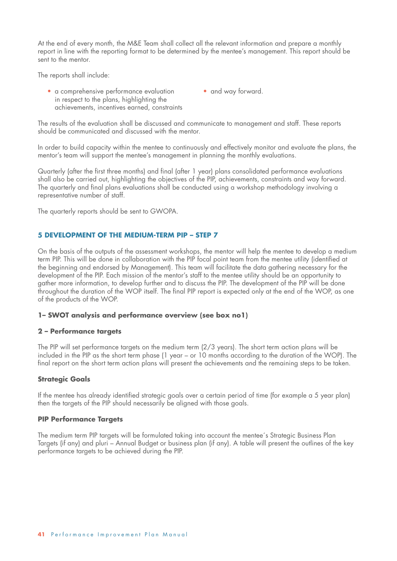At the end of every month, the M&E Team shall collect all the relevant information and prepare a monthly report in line with the reporting format to be determined by the mentee's management. This report should be sent to the mentor.

The reports shall include:

- a comprehensive performance evaluation in respect to the plans, highlighting the achievements, incentives earned, constraints
- and way forward.

The results of the evaluation shall be discussed and communicate to management and staff. These reports should be communicated and discussed with the mentor.

In order to build capacity within the mentee to continuously and effectively monitor and evaluate the plans, the mentor's team will support the mentee's management in planning the monthly evaluations.

Quarterly (after the first three months) and final (after 1 year) plans consolidated performance evaluations shall also be carried out, highlighting the objectives of the PIP, achievements, constraints and way forward. The quarterly and final plans evaluations shall be conducted using a workshop methodology involving a representative number of staff.

The quarterly reports should be sent to GWOPA.

### **5 DEVELOPMENT OF THE MEDIUM-TERM PIP – STEP 7**

On the basis of the outputs of the assessment workshops, the mentor will help the mentee to develop a medium term PIP. This will be done in collaboration with the PIP focal point team from the mentee utility (identified at the beginning and endorsed by Management). This team will facilitate the data gathering necessary for the development of the PIP. Each mission of the mentor's staff to the mentee utility should be an opportunity to gather more information, to develop further and to discuss the PIP. The development of the PIP will be done throughout the duration of the WOP itself. The final PIP report is expected only at the end of the WOP, as one of the products of the WOP.

### **1– SWOT analysis and performance overview (see box no1)**

### **2 – Performance targets**

The PIP will set performance targets on the medium term (2/3 years). The short term action plans will be included in the PIP as the short term phase (1 year – or 10 months according to the duration of the WOP). The final report on the short term action plans will present the achievements and the remaining steps to be taken.

### **Strategic Goals**

If the mentee has already identified strategic goals over a certain period of time (for example a 5 year plan) then the targets of the PIP should necessarily be aligned with those goals.

### **PIP Performance Targets**

The medium term PIP targets will be formulated taking into account the mentee´s Strategic Business Plan Targets (if any) and pluri – Annual Budget or business plan (if any). A table will present the outlines of the key performance targets to be achieved during the PIP.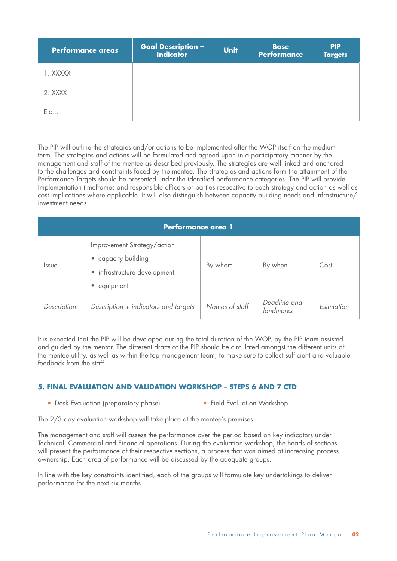| <b>Performance areas</b> | <b>Goal Description -<br/>Indicator</b> | <b>Unit</b> | <b>Base</b><br><b>Performance</b> | <b>PIP</b><br><b>Targets</b> |
|--------------------------|-----------------------------------------|-------------|-----------------------------------|------------------------------|
| 1. XXXXX                 |                                         |             |                                   |                              |
| 2. XXXX                  |                                         |             |                                   |                              |
| $E$ tc                   |                                         |             |                                   |                              |

The PIP will outline the strategies and/or actions to be implemented after the WOP itself on the medium term. The strategies and actions will be formulated and agreed upon in a participatory manner by the management and staff of the mentee as described previously. The strategies are well linked and anchored to the challenges and constraints faced by the mentee. The strategies and actions form the attainment of the Performance Targets should be presented under the identified performance categories. The PIP will provide implementation timeframes and responsible officers or parties respective to each strategy and action as well as cost implications where applicable. It will also distinguish between capacity building needs and infrastructure/ investment needs.

| <b>Performance area 1</b> |                                                                                                              |                |                           |            |  |  |  |  |  |  |
|---------------------------|--------------------------------------------------------------------------------------------------------------|----------------|---------------------------|------------|--|--|--|--|--|--|
| <i>ssue</i>               | Improvement Strategy/action<br>• capacity building<br>· infrastructure development<br>equipment<br>$\bullet$ | By whom        | By when                   | Cost       |  |  |  |  |  |  |
| Description               | Description + indicators and targets                                                                         | Names of staff | Deadline and<br>landmarks | Estimation |  |  |  |  |  |  |

It is expected that the PIP will be developed during the total duration of the WOP, by the PIP team assisted and guided by the mentor. The different drafts of the PIP should be circulated amongst the different units of the mentee utility, as well as within the top management team, to make sure to collect sufficient and valuable feedback from the staff.

### **5. FINAL EVALUATION AND VALIDATION WORKSHOP – STEPS 6 AND 7 CTD**

• Desk Evaluation (preparatory phase) • Field Evaluation Workshop

The 2/3 day evaluation workshop will take place at the mentee's premises.

The management and staff will assess the performance over the period based on key indicators under Technical, Commercial and Financial operations. During the evaluation workshop, the heads of sections will present the performance of their respective sections, a process that was aimed at increasing process ownership. Each area of performance will be discussed by the adequate groups.

In line with the key constraints identified, each of the groups will formulate key undertakings to deliver performance for the next six months.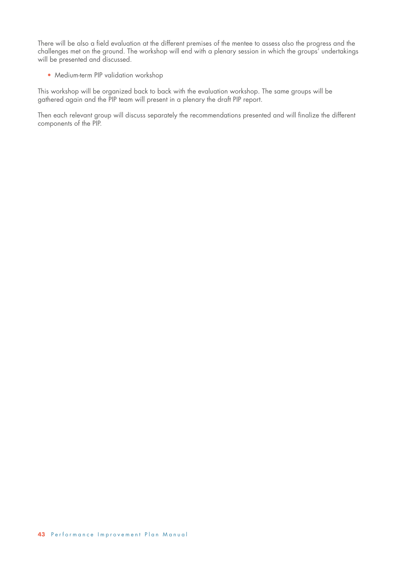There will be also a field evaluation at the different premises of the mentee to assess also the progress and the challenges met on the ground. The workshop will end with a plenary session in which the groups' undertakings will be presented and discussed.

• Medium-term PIP validation workshop

This workshop will be organized back to back with the evaluation workshop. The same groups will be gathered again and the PIP team will present in a plenary the draft PIP report.

Then each relevant group will discuss separately the recommendations presented and will finalize the different components of the PIP.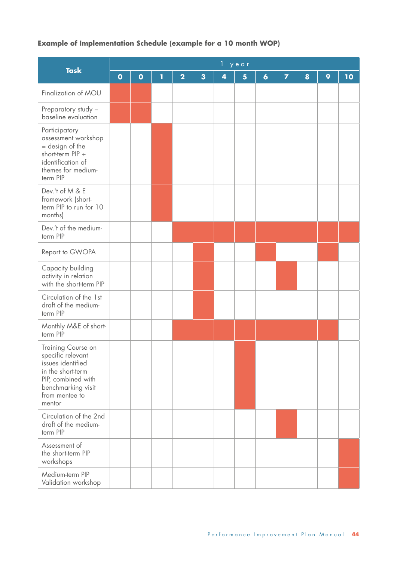### **Example of Implementation Schedule (example for a 10 month WOP)**

|                                                                                                                                                           | year      |           |   |                         |                         |   |   |                  |                         |   |   |    |
|-----------------------------------------------------------------------------------------------------------------------------------------------------------|-----------|-----------|---|-------------------------|-------------------------|---|---|------------------|-------------------------|---|---|----|
| <b>Task</b>                                                                                                                                               | $\bullet$ | $\bullet$ | 1 | $\overline{\mathbf{2}}$ | $\overline{\mathbf{3}}$ | 4 | 5 | $\boldsymbol{6}$ | $\overline{\mathbf{z}}$ | 8 | 9 | 10 |
| Finalization of MOU                                                                                                                                       |           |           |   |                         |                         |   |   |                  |                         |   |   |    |
| Preparatory study -<br>baseline evaluation                                                                                                                |           |           |   |                         |                         |   |   |                  |                         |   |   |    |
| Participatory<br>assessment workshop<br>= design of the<br>short-term PIP +<br>identification of<br>themes for medium-<br>term PIP                        |           |           |   |                         |                         |   |   |                  |                         |   |   |    |
| Dev.'t of M & E<br>framework (short-<br>term PIP to run for 10<br>months)                                                                                 |           |           |   |                         |                         |   |   |                  |                         |   |   |    |
| Dev.'t of the medium-<br>term PIP                                                                                                                         |           |           |   |                         |                         |   |   |                  |                         |   |   |    |
| Report to GWOPA                                                                                                                                           |           |           |   |                         |                         |   |   |                  |                         |   |   |    |
| Capacity building<br>activity in relation<br>with the short-term PIP                                                                                      |           |           |   |                         |                         |   |   |                  |                         |   |   |    |
| Circulation of the 1st<br>draft of the medium-<br>term PIP                                                                                                |           |           |   |                         |                         |   |   |                  |                         |   |   |    |
| Monthly M&E of short-<br>term PIP                                                                                                                         |           |           |   |                         |                         |   |   |                  |                         |   |   |    |
| Training Course on<br>specific relevant<br>issues identified<br>in the short-term<br>PIP, combined with<br>benchmarking visit<br>from mentee to<br>mentor |           |           |   |                         |                         |   |   |                  |                         |   |   |    |
| Circulation of the 2nd<br>draft of the medium-<br>term PIP                                                                                                |           |           |   |                         |                         |   |   |                  |                         |   |   |    |
| Assessment of<br>the short-term PIP<br>workshops                                                                                                          |           |           |   |                         |                         |   |   |                  |                         |   |   |    |
| Medium-term PIP<br>Validation workshop                                                                                                                    |           |           |   |                         |                         |   |   |                  |                         |   |   |    |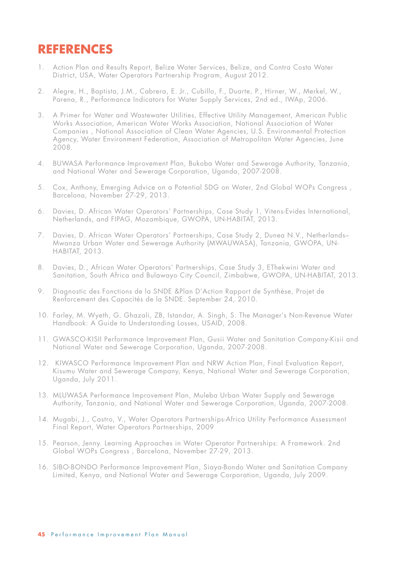## **REFERENCES**

- 1. Action Plan and Results Report, Belize Water Services, Belize, and Contra Costa Water District, USA, Water Operators Partnership Program, August 2012.
- 2. Alegre, H., Baptista, J.M., Cabrera, E. Jr., Cubillo, F., Duarte, P., Hirner, W., Merkel, W., Parena, R., Performance Indicators for Water Supply Services, 2nd ed., IWAp, 2006.
- 3. A Primer for Water and Wastewater Utilities, Effective Utility Management, American Public Works Association, American Water Works Association, National Association of Water Companies , National Association of Clean Water Agencies, U.S. Environmental Protection Agency, Water Environment Federation, Association of Metropolitan Water Agencies, June 2008.
- 4. BUWASA Performance Improvement Plan, Bukoba Water and Sewerage Authority, Tanzania, and National Water and Sewerage Corporation, Uganda, 2007-2008.
- 5. Cox, Anthony, Emerging Advice on a Potential SDG on Water, 2nd Global WOPs Congress , Barcelona, November 27-29, 2013.
- 6. Davies, D. African Water Operators' Partnerships, Case Study 1, Vitens-Evides International, Netherlands, and FIPAG, Mozambique, GWOPA, UN-HABITAT, 2013.
- 7. Davies, D. African Water Operators' Partnerships, Case Study 2, Dunea N.V., Netherlands– Mwanza Urban Water and Sewerage Authority (MWAUWASA), Tanzania, GWOPA, UN-HABITAT, 2013.
- 8. Davies, D., African Water Operators' Partnerships, Case Study 3, EThekwini Water and Sanitation, South Africa and Bulawayo City Council, Zimbabwe, GWOPA, UN-HABITAT, 2013.
- 9. Diagnostic des Fonctions de la SNDE &Plan D'Action Rapport de Synthèse, Projet de Renforcement des Capacités de la SNDE. September 24, 2010.
- 10. Farley, M. Wyeth, G. Ghazali, ZB, Istandar, A. Singh, S. The Manager's Non-Revenue Water Handbook: A Guide to Understanding Losses, USAID, 2008.
- 11. GWASCO-KISII Performance Improvement Plan, Gusii Water and Sanitation Company-Kisii and National Water and Sewerage Corporation, Uganda, 2007-2008.
- 12. KIWASCO Performance Improvement Plan and NRW Action Plan, Final Evaluation Report, Kisumu Water and Sewerage Company, Kenya, National Water and Sewerage Corporation, Uganda, July 2011.
- 13. MLUWASA Performance Improvement Plan, Muleba Urban Water Supply and Sewerage Authority, Tanzania, and National Water and Sewerage Corporation, Uganda, 2007-2008.
- 14. Mugabi, J., Castro, V., Water Operators Partnerships-Africa Utility Performance Assessment Final Report, Water Operators Partnerships, 2009
- 15. Pearson, Jenny. Learning Approaches in Water Operator Partnerships: A Framework. 2nd Global WOPs Congress , Barcelona, November 27-29, 2013.
- 16. SIBO-BONDO Performance Improvement Plan, Siaya-Bondo Water and Sanitation Company Limited, Kenya, and National Water and Sewerage Corporation, Uganda, July 2009.